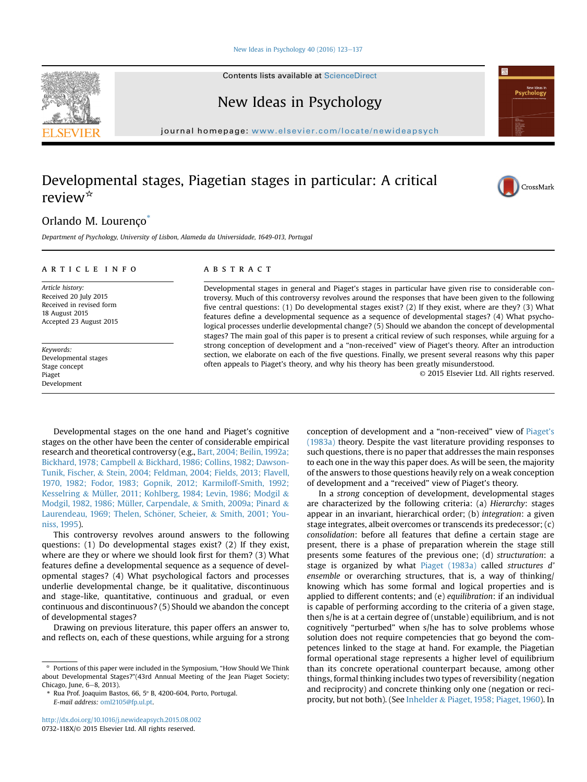#### [New Ideas in Psychology 40 \(2016\) 123](http://dx.doi.org/10.1016/j.newideapsych.2015.08.002)-[137](http://dx.doi.org/10.1016/j.newideapsych.2015.08.002)

Contents lists available at [ScienceDirect](www.sciencedirect.com/science/journal/0732118X)



journal homepage: <www.elsevier.com/locate/newideapsych>

# Developmental stages, Piagetian stages in particular: A critical review\*



## Orlando M. Lourenço\*

Department of Psychology, University of Lisbon, Alameda da Universidade, 1649-013, Portugal

## article info

Article history: Received 20 July 2015 Received in revised form 18 August 2015 Accepted 23 August 2015

Keywords: Developmental stages Stage concept Piaget Development

## **ABSTRACT**

Developmental stages in general and Piaget's stages in particular have given rise to considerable controversy. Much of this controversy revolves around the responses that have been given to the following five central questions: (1) Do developmental stages exist? (2) If they exist, where are they? (3) What features define a developmental sequence as a sequence of developmental stages? (4) What psychological processes underlie developmental change? (5) Should we abandon the concept of developmental stages? The main goal of this paper is to present a critical review of such responses, while arguing for a strong conception of development and a "non-received" view of Piaget's theory. After an introduction section, we elaborate on each of the five questions. Finally, we present several reasons why this paper often appeals to Piaget's theory, and why his theory has been greatly misunderstood.

© 2015 Elsevier Ltd. All rights reserved.

Developmental stages on the one hand and Piaget's cognitive stages on the other have been the center of considerable empirical research and theoretical controversy (e.g., [Bart, 2004; Beilin, 1992a;](#page-11-0) [Bickhard, 1978; Campbell](#page-11-0) & [Bickhard, 1986; Collins, 1982; Dawson-](#page-11-0)[Tunik, Fischer,](#page-11-0) & [Stein, 2004; Feldman, 2004; Fields, 2013; Flavell,](#page-11-0) [1970, 1982; Fodor, 1983; Gopnik, 2012; Karmiloff-Smith, 1992;](#page-11-0) [Kesselring](#page-11-0) & [Müller, 2011; Kohlberg, 1984; Levin, 1986; Modgil](#page-11-0) & [Modgil, 1982, 1986; Müller, Carpendale,](#page-11-0) & [Smith, 2009a; Pinard](#page-11-0) & Laurendeau, 1969; Thelen, Schöner, Scheier, & [Smith, 2001; You](#page-11-0)[niss, 1995](#page-11-0)).

This controversy revolves around answers to the following questions: (1) Do developmental stages exist? (2) If they exist, where are they or where we should look first for them? (3) What features define a developmental sequence as a sequence of developmental stages? (4) What psychological factors and processes underlie developmental change, be it qualitative, discontinuous and stage-like, quantitative, continuous and gradual, or even continuous and discontinuous? (5) Should we abandon the concept of developmental stages?

Drawing on previous literature, this paper offers an answer to, and reflects on, each of these questions, while arguing for a strong

<http://dx.doi.org/10.1016/j.newideapsych.2015.08.002> 0732-118X/© 2015 Elsevier Ltd. All rights reserved.

conception of development and a "non-received" view of [Piaget](#page-13-0)'s [\(1983a\)](#page-13-0) theory. Despite the vast literature providing responses to such questions, there is no paper that addresses the main responses to each one in the way this paper does. As will be seen, the majority of the answers to those questions heavily rely on a weak conception of development and a "received" view of Piaget's theory.

In a strong conception of development, developmental stages are characterized by the following criteria: (a) Hierarchy: stages appear in an invariant, hierarchical order; (b) integration: a given stage integrates, albeit overcomes or transcends its predecessor; (c) consolidation: before all features that define a certain stage are present, there is a phase of preparation wherein the stage still presents some features of the previous one; (d) structuration: a stage is organized by what [Piaget \(1983a\)](#page-13-0) called structures d' ensemble or overarching structures, that is, a way of thinking/ knowing which has some formal and logical properties and is applied to different contents; and (e) equilibration: if an individual is capable of performing according to the criteria of a given stage, then s/he is at a certain degree of (unstable) equilibrium, and is not cognitively "perturbed" when s/he has to solve problems whose solution does not require competencies that go beyond the competences linked to the stage at hand. For example, the Piagetian formal operational stage represents a higher level of equilibrium than its concrete operational counterpart because, among other things, formal thinking includes two types of reversibility (negation and reciprocity) and concrete thinking only one (negation or reciprocity, but not both). (See [Inhelder](#page-12-0) & [Piaget, 1958; Piaget, 1960](#page-12-0)). In



<sup>\*</sup> Portions of this paper were included in the Symposium, "How Should We Think about Developmental Stages?"(43rd Annual Meeting of the Jean Piaget Society; Chicago, June, 6-8, 2013).

Rua Prof. Joaquim Bastos, 66, 5° B, 4200-604, Porto, Portugal. E-mail address: [oml2105@fp.ul.pt.](mailto:oml2105@fp.ul.pt)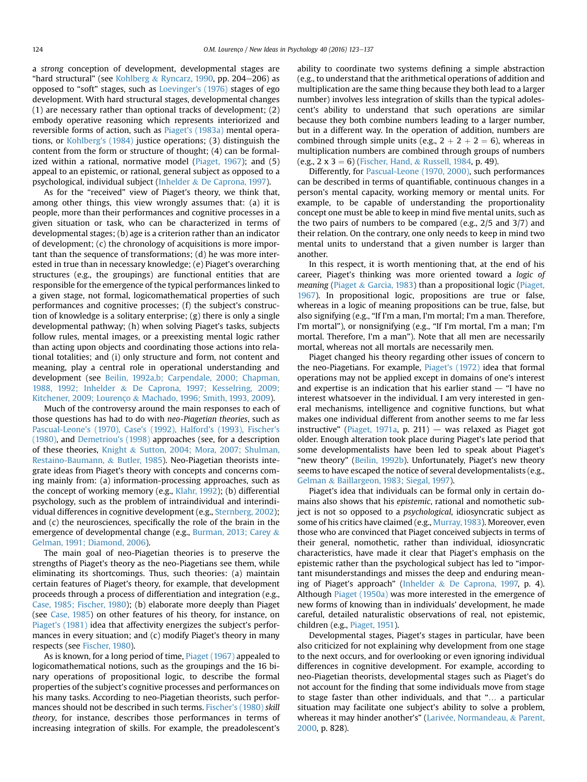a strong conception of development, developmental stages are "hard structural" (see [Kohlberg](#page-13-0) & [Ryncarz, 1990](#page-13-0), pp. 204-206) as opposed to "soft" stages, such as [Loevinger's \(1976\)](#page-13-0) stages of ego development. With hard structural stages, developmental changes (1) are necessary rather than optional tracks of development; (2) embody operative reasoning which represents interiorized and reversible forms of action, such as Piaget'[s \(1983a\)](#page-13-0) mental operations, or [Kohlberg's \(1984\)](#page-13-0) justice operations; (3) distinguish the content from the form or structure of thought; (4) can be formalized within a rational, normative model [\(Piaget, 1967](#page-13-0)); and (5) appeal to an epistemic, or rational, general subject as opposed to a psychological, individual subject [\(Inhelder](#page-12-0) & [De Caprona, 1997](#page-12-0)).

As for the "received" view of Piaget's theory, we think that, among other things, this view wrongly assumes that: (a) it is people, more than their performances and cognitive processes in a given situation or task, who can be characterized in terms of developmental stages; (b) age is a criterion rather than an indicator of development; (c) the chronology of acquisitions is more important than the sequence of transformations; (d) he was more interested in true than in necessary knowledge; (e) Piaget's overarching structures (e.g., the groupings) are functional entities that are responsible for the emergence of the typical performances linked to a given stage, not formal, logicomathematical properties of such performances and cognitive processes; (f) the subject's construction of knowledge is a solitary enterprise; (g) there is only a single developmental pathway; (h) when solving Piaget's tasks, subjects follow rules, mental images, or a preexisting mental logic rather than acting upon objects and coordinating those actions into relational totalities; and (i) only structure and form, not content and meaning, play a central role in operational understanding and development (see [Beilin, 1992a,b; Carpendale, 2000; Chapman,](#page-11-0) [1988, 1992; Inhelder](#page-11-0) & [De Caprona, 1997; Kesselring, 2009;](#page-11-0) [Kitchener, 2009; Lourenço](#page-11-0) & [Machado, 1996; Smith, 1993, 2009](#page-11-0)).

Much of the controversy around the main responses to each of those questions has had to do with neo-Piagetian theories, such as [Pascual-Leone's \(1970\), Case's \(1992\), Halford's \(1993\), Fischer's](#page-13-0) [\(1980\)](#page-13-0), and [Demetriou's \(1998\)](#page-12-0) approaches (see, for a description of these theories, [Knight](#page-13-0) & [Sutton, 2004; Mora, 2007; Shulman,](#page-13-0) [Restaino-Baumann,](#page-13-0) & [Butler, 1985\)](#page-13-0). Neo-Piagetian theorists integrate ideas from Piaget's theory with concepts and concerns coming mainly from: (a) information-processing approaches, such as the concept of working memory (e.g., [Klahr, 1992](#page-13-0)); (b) differential psychology, such as the problem of intraindividual and interindividual differences in cognitive development (e.g., [Sternberg, 2002](#page-14-0)); and (c) the neurosciences, specifically the role of the brain in the emergence of developmental change (e.g., [Burman, 2013; Carey](#page-12-0) & [Gelman, 1991; Diamond, 2006\)](#page-12-0).

The main goal of neo-Piagetian theories is to preserve the strengths of Piaget's theory as the neo-Piagetians see them, while eliminating its shortcomings. Thus, such theories: (a) maintain certain features of Piaget's theory, for example, that development proceeds through a process of differentiation and integration (e.g., [Case, 1985; Fischer, 1980\)](#page-12-0); (b) elaborate more deeply than Piaget (see [Case, 1985\)](#page-12-0) on other features of his theory, for instance, on [Piaget's \(1981\)](#page-13-0) idea that affectivity energizes the subject's performances in every situation; and (c) modify Piaget's theory in many respects (see [Fischer, 1980\)](#page-12-0).

As is known, for a long period of time, [Piaget \(1967\)](#page-13-0) appealed to logicomathematical notions, such as the groupings and the 16 binary operations of propositional logic, to describe the formal properties of the subject's cognitive processes and performances on his many tasks. According to neo-Piagetian theorists, such performances should not be described in such terms. [Fischer's \(1980\)](#page-12-0) skill theory, for instance, describes those performances in terms of increasing integration of skills. For example, the preadolescent's ability to coordinate two systems defining a simple abstraction (e.g., to understand that the arithmetical operations of addition and multiplication are the same thing because they both lead to a larger number) involves less integration of skills than the typical adolescent's ability to understand that such operations are similar because they both combine numbers leading to a larger number, but in a different way. In the operation of addition, numbers are combined through simple units (e.g.,  $2 + 2 + 2 = 6$ ), whereas in multiplication numbers are combined through groups of numbers (e.g., 2 x 3 = 6) [\(Fischer, Hand,](#page-12-0) & [Russell, 1984](#page-12-0), p. 49).

Differently, for [Pascual-Leone \(1970, 2000\)](#page-13-0), such performances can be described in terms of quantifiable, continuous changes in a person's mental capacity, working memory or mental units. For example, to be capable of understanding the proportionality concept one must be able to keep in mind five mental units, such as the two pairs of numbers to be compared (e.g., 2/5 and 3/7) and their relation. On the contrary, one only needs to keep in mind two mental units to understand that a given number is larger than another.

In this respect, it is worth mentioning that, at the end of his career, Piaget's thinking was more oriented toward a logic of meaning ([Piaget](#page-14-0)  $&$  [Garcia, 1983\)](#page-14-0) than a propositional logic ([Piaget,](#page-13-0) [1967](#page-13-0)). In propositional logic, propositions are true or false, whereas in a logic of meaning propositions can be true, false, but also signifying (e.g., "If I'm a man, I'm mortal; I'm a man. Therefore, I'm mortal"), or nonsignifying (e.g., "If I'm mortal, I'm a man; I'm mortal. Therefore, I'm a man"). Note that all men are necessarily mortal, whereas not all mortals are necessarily men.

Piaget changed his theory regarding other issues of concern to the neo-Piagetians. For example, [Piaget's \(1972\)](#page-13-0) idea that formal operations may not be applied except in domains of one's interest and expertise is an indication that his earlier stand  $-$  "I have no interest whatsoever in the individual. I am very interested in general mechanisms, intelligence and cognitive functions, but what makes one individual different from another seems to me far less instructive" ([Piaget, 1971a](#page-13-0), p. 211)  $-$  was relaxed as Piaget got older. Enough alteration took place during Piaget's late period that some developmentalists have been led to speak about Piaget's "new theory" [\(Beilin, 1992b\)](#page-11-0). Unfortunately, Piaget's new theory seems to have escaped the notice of several developmentalists (e.g., [Gelman](#page-12-0) & [Baillargeon, 1983; Siegal, 1997\)](#page-12-0).

Piaget's idea that individuals can be formal only in certain domains also shows that his epistemic, rational and nomothetic subject is not so opposed to a *psychological*, idiosyncratic subject as some of his critics have claimed (e.g., [Murray, 1983\)](#page-13-0). Moreover, even those who are convinced that Piaget conceived subjects in terms of their general, nomothetic, rather than individual, idiosyncratic characteristics, have made it clear that Piaget's emphasis on the epistemic rather than the psychological subject has led to "important misunderstandings and misses the deep and enduring meaning of Piaget's approach" [\(Inhelder](#page-12-0) & [De Caprona, 1997,](#page-12-0) p. 4). Although [Piaget \(1950a\)](#page-13-0) was more interested in the emergence of new forms of knowing than in individuals' development, he made careful, detailed naturalistic observations of real, not epistemic, children (e.g., [Piaget, 1951](#page-13-0)).

Developmental stages, Piaget's stages in particular, have been also criticized for not explaining why development from one stage to the next occurs, and for overlooking or even ignoring individual differences in cognitive development. For example, according to neo-Piagetian theorists, developmental stages such as Piaget's do not account for the finding that some individuals move from stage to stage faster than other individuals, and that "… a particular situation may facilitate one subject's ability to solve a problem, whereas it may hinder another's" (Larivée, Normandeau, & [Parent,](#page-13-0) [2000](#page-13-0), p. 828).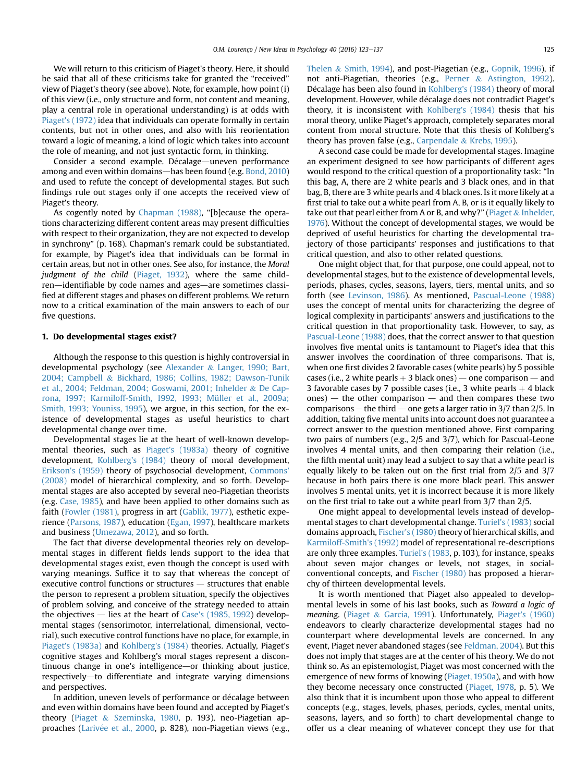We will return to this criticism of Piaget's theory. Here, it should be said that all of these criticisms take for granted the "received" view of Piaget's theory (see above). Note, for example, how point (i) of this view (i.e., only structure and form, not content and meaning, play a central role in operational understanding) is at odds with [Piaget's \(1972\)](#page-13-0) idea that individuals can operate formally in certain contents, but not in other ones, and also with his reorientation toward a logic of meaning, a kind of logic which takes into account the role of meaning, and not just syntactic form, in thinking.

Consider a second example. Décalage—uneven performance among and even within domains—has been found (e.g. [Bond, 2010\)](#page-11-0) and used to refute the concept of developmental stages. But such findings rule out stages only if one accepts the received view of Piaget's theory.

As cogently noted by [Chapman \(1988\),](#page-12-0) "[b]ecause the operations characterizing different content areas may present difficulties with respect to their organization, they are not expected to develop in synchrony" (p. 168). Chapman's remark could be substantiated, for example, by Piaget's idea that individuals can be formal in certain areas, but not in other ones. See also, for instance, the Moral judgment of the child ([Piaget, 1932](#page-13-0)), where the same children—identifiable by code names and ages—are sometimes classified at different stages and phases on different problems. We return now to a critical examination of the main answers to each of our five questions.

## 1. Do developmental stages exist?

Although the response to this question is highly controversial in developmental psychology (see [Alexander](#page-11-0) & [Langer, 1990; Bart,](#page-11-0) [2004; Campbell](#page-11-0) & [Bickhard, 1986; Collins, 1982; Dawson-Tunik](#page-11-0) [et al., 2004; Feldman, 2004; Goswami, 2001; Inhelder](#page-11-0) & [De Cap](#page-11-0)[rona, 1997; Karmiloff-Smith, 1992, 1993; Müller et al., 2009a;](#page-11-0) [Smith, 1993; Youniss, 1995\)](#page-11-0), we argue, in this section, for the existence of developmental stages as useful heuristics to chart developmental change over time.

Developmental stages lie at the heart of well-known developmental theories, such as [Piaget's \(1983a\)](#page-13-0) theory of cognitive development, [Kohlberg's \(1984\)](#page-13-0) theory of moral development, [Erikson's \(1959\)](#page-12-0) theory of psychosocial development, [Commons'](#page-12-0) [\(2008\)](#page-12-0) model of hierarchical complexity, and so forth. Developmental stages are also accepted by several neo-Piagetian theorists (e.g. [Case, 1985](#page-12-0)), and have been applied to other domains such as faith ([Fowler \(1981\),](#page-12-0) progress in art [\(Gablik, 1977](#page-12-0)), esthetic experience [\(Parsons, 1987\)](#page-13-0), education ([Egan, 1997](#page-12-0)), healthcare markets and business ([Umezawa, 2012](#page-14-0)), and so forth.

The fact that diverse developmental theories rely on developmental stages in different fields lends support to the idea that developmental stages exist, even though the concept is used with varying meanings. Suffice it to say that whereas the concept of executive control functions or structures  $-$  structures that enable the person to represent a problem situation, specify the objectives of problem solving, and conceive of the strategy needed to attain the objectives  $-$  lies at the heart of [Case's \(1985, 1992](#page-12-0)) developmental stages (sensorimotor, interrelational, dimensional, vectorial), such executive control functions have no place, for example, in [Piaget's \(1983a\)](#page-13-0) and [Kohlberg's \(1984\)](#page-13-0) theories. Actually, Piaget's cognitive stages and Kohlberg's moral stages represent a discontinuous change in one's intelligence—or thinking about justice, respectively-to differentiate and integrate varying dimensions and perspectives.

In addition, uneven levels of performance or décalage between and even within domains have been found and accepted by Piaget's theory ([Piaget](#page-14-0) & [Szeminska, 1980](#page-14-0), p. 193), neo-Piagetian ap-proaches ([Lariv](#page-13-0)é[e et al., 2000](#page-13-0), p. 828), non-Piagetian views (e.g.,

[Thelen](#page-14-0) & [Smith, 1994](#page-14-0)), and post-Piagetian (e.g., [Gopnik, 1996](#page-12-0)), if not anti-Piagetian, theories (e.g., [Perner](#page-13-0) & [Astington, 1992\)](#page-13-0). Décalage has been also found in [Kohlberg's \(1984\)](#page-13-0) theory of moral development. However, while décalage does not contradict Piaget's theory, it is inconsistent with [Kohlberg's \(1984\)](#page-13-0) thesis that his moral theory, unlike Piaget's approach, completely separates moral content from moral structure. Note that this thesis of Kohlberg's theory has proven false (e.g., [Carpendale](#page-12-0) & [Krebs, 1995](#page-12-0)).

A second case could be made for developmental stages. Imagine an experiment designed to see how participants of different ages would respond to the critical question of a proportionality task: "In this bag, A, there are 2 white pearls and 3 black ones, and in that bag, B, there are 3 white pearls and 4 black ones. Is it more likely at a first trial to take out a white pearl from A, B, or is it equally likely to take out that pearl either from A or B, and why?" [\(Piaget](#page-14-0)  $&$  [Inhelder,](#page-14-0) [1976](#page-14-0)). Without the concept of developmental stages, we would be deprived of useful heuristics for charting the developmental trajectory of those participants' responses and justifications to that critical question, and also to other related questions.

One might object that, for that purpose, one could appeal, not to developmental stages, but to the existence of developmental levels, periods, phases, cycles, seasons, layers, tiers, mental units, and so forth (see [Levinson, 1986](#page-13-0)). As mentioned, [Pascual-Leone \(1988\)](#page-13-0) uses the concept of mental units for characterizing the degree of logical complexity in participants' answers and justifications to the critical question in that proportionality task. However, to say, as [Pascual-Leone \(1988\)](#page-13-0) does, that the correct answer to that question involves five mental units is tantamount to Piaget's idea that this answer involves the coordination of three comparisons. That is, when one first divides 2 favorable cases (white pearls) by 5 possible cases (i.e., 2 white pearls  $+$  3 black ones) — one comparison — and 3 favorable cases by 7 possible cases (i.e., 3 white pearls  $+$  4 black  $ones$ ) — the other comparison — and then compares these two comparisons – the third – one gets a larger ratio in  $3/7$  than  $2/5$ . In addition, taking five mental units into account does not guarantee a correct answer to the question mentioned above. First comparing two pairs of numbers (e.g., 2/5 and 3/7), which for Pascual-Leone involves 4 mental units, and then comparing their relation (i.e., the fifth mental unit) may lead a subject to say that a white pearl is equally likely to be taken out on the first trial from 2/5 and 3/7 because in both pairs there is one more black pearl. This answer involves 5 mental units, yet it is incorrect because it is more likely on the first trial to take out a white pearl from 3/7 than 2/5.

One might appeal to developmental levels instead of developmental stages to chart developmental change. [Turiel's \(1983\)](#page-14-0) social domains approach, [Fischer's \(1980\)](#page-12-0) theory of hierarchical skills, and [Karmiloff-Smith's \(1992\)](#page-12-0) model of representational re-descriptions are only three examples. [Turiel's \(1983](#page-14-0), p. 103), for instance, speaks about seven major changes or levels, not stages, in socialconventional concepts, and [Fischer \(1980\)](#page-12-0) has proposed a hierarchy of thirteen developmental levels.

It is worth mentioned that Piaget also appealed to developmental levels in some of his last books, such as Toward a logic of meaning. [\(Piaget](#page-14-0) & [Garcia, 1991\)](#page-14-0). Unfortunately, [Piaget's \(1960\)](#page-13-0) endeavors to clearly characterize developmental stages had no counterpart where developmental levels are concerned. In any event, Piaget never abandoned stages (see [Feldman, 2004\)](#page-12-0). But this does not imply that stages are at the center of his theory. We do not think so. As an epistemologist, Piaget was most concerned with the emergence of new forms of knowing [\(Piaget, 1950a](#page-13-0)), and with how they become necessary once constructed [\(Piaget, 1978,](#page-13-0) p. 5). We also think that it is incumbent upon those who appeal to different concepts (e.g., stages, levels, phases, periods, cycles, mental units, seasons, layers, and so forth) to chart developmental change to offer us a clear meaning of whatever concept they use for that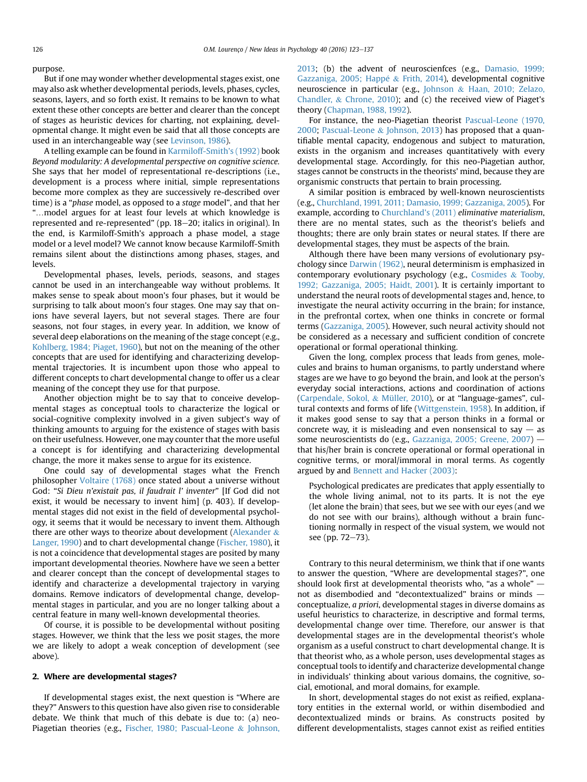purpose.

But if one may wonder whether developmental stages exist, one may also ask whether developmental periods, levels, phases, cycles, seasons, layers, and so forth exist. It remains to be known to what extent these other concepts are better and clearer than the concept of stages as heuristic devices for charting, not explaining, developmental change. It might even be said that all those concepts are used in an interchangeable way (see [Levinson, 1986](#page-13-0)).

A telling example can be found in [Karmiloff-Smith's \(1992\)](#page-12-0) book Beyond modularity: A developmental perspective on cognitive science. She says that her model of representational re-descriptions (i.e., development is a process where initial, simple representations become more complex as they are successively re-described over time) is a "phase model, as opposed to a stage model", and that her "…model argues for at least four levels at which knowledge is represented and re-represented" (pp. 18–20; italics in original). In the end, is Karmiloff-Smith's approach a phase model, a stage model or a level model? We cannot know because Karmiloff-Smith remains silent about the distinctions among phases, stages, and levels.

Developmental phases, levels, periods, seasons, and stages cannot be used in an interchangeable way without problems. It makes sense to speak about moon's four phases, but it would be surprising to talk about moon's four stages. One may say that onions have several layers, but not several stages. There are four seasons, not four stages, in every year. In addition, we know of several deep elaborations on the meaning of the stage concept (e.g., [Kohlberg, 1984; Piaget, 1960\)](#page-13-0), but not on the meaning of the other concepts that are used for identifying and characterizing developmental trajectories. It is incumbent upon those who appeal to different concepts to chart developmental change to offer us a clear meaning of the concept they use for that purpose.

Another objection might be to say that to conceive developmental stages as conceptual tools to characterize the logical or social-cognitive complexity involved in a given subject's way of thinking amounts to arguing for the existence of stages with basis on their usefulness. However, one may counter that the more useful a concept is for identifying and characterizing developmental change, the more it makes sense to argue for its existence.

One could say of developmental stages what the French philosopher [Voltaire \(1768\)](#page-14-0) once stated about a universe without God: "Si Dieu n'existait pas, il faudrait l' inventer" [If God did not exist, it would be necessary to invent him] (p. 403). If developmental stages did not exist in the field of developmental psychology, it seems that it would be necessary to invent them. Although there are other ways to theorize about development ([Alexander](#page-11-0)  $\&$ [Langer, 1990\)](#page-11-0) and to chart developmental change [\(Fischer, 1980](#page-12-0)), it is not a coincidence that developmental stages are posited by many important developmental theories. Nowhere have we seen a better and clearer concept than the concept of developmental stages to identify and characterize a developmental trajectory in varying domains. Remove indicators of developmental change, developmental stages in particular, and you are no longer talking about a central feature in many well-known developmental theories.

Of course, it is possible to be developmental without positing stages. However, we think that the less we posit stages, the more we are likely to adopt a weak conception of development (see above).

## 2. Where are developmental stages?

If developmental stages exist, the next question is "Where are they?" Answers to this question have also given rise to considerable debate. We think that much of this debate is due to: (a) neo-Piagetian theories (e.g., [Fischer, 1980; Pascual-Leone](#page-12-0) & [Johnson,](#page-12-0) [2013;](#page-12-0) (b) the advent of neuroscienfces (e.g., [Damasio, 1999;](#page-12-0) [Gazzaniga, 2005; Happ](#page-12-0)é & [Frith, 2014](#page-12-0)), developmental cognitive neuroscience in particular (e.g., [Johnson](#page-12-0) & [Haan, 2010; Zelazo,](#page-12-0) [Chandler,](#page-12-0) & [Chrone, 2010](#page-12-0)); and (c) the received view of Piaget's theory [\(Chapman, 1988, 1992](#page-12-0)).

For instance, the neo-Piagetian theorist [Pascual-Leone \(1970,](#page-13-0) [2000](#page-13-0); [Pascual-Leone](#page-13-0) & [Johnson, 2013\)](#page-13-0) has proposed that a quantifiable mental capacity, endogenous and subject to maturation, exists in the organism and increases quantitatively with every developmental stage. Accordingly, for this neo-Piagetian author, stages cannot be constructs in the theorists' mind, because they are organismic constructs that pertain to brain processing.

A similar position is embraced by well-known neuroscientists (e.g., [Churchland, 1991, 2011; Damasio, 1999; Gazzaniga, 2005\)](#page-12-0). For example, according to [Churchland's \(2011\)](#page-12-0) eliminative materialism, there are no mental states, such as the theorist's beliefs and thoughts; there are only brain states or neural states. If there are developmental stages, they must be aspects of the brain.

Although there have been many versions of evolutionary psychology since [Darwin \(1962\)](#page-12-0), neural determinism is emphasized in contemporary evolutionary psychology (e.g., [Cosmides](#page-12-0) & [Tooby,](#page-12-0) [1992; Gazzaniga, 2005; Haidt, 2001\)](#page-12-0). It is certainly important to understand the neural roots of developmental stages and, hence, to investigate the neural activity occurring in the brain; for instance, in the prefrontal cortex, when one thinks in concrete or formal terms [\(Gazzaniga, 2005\)](#page-12-0). However, such neural activity should not be considered as a necessary and sufficient condition of concrete operational or formal operational thinking.

Given the long, complex process that leads from genes, molecules and brains to human organisms, to partly understand where stages are we have to go beyond the brain, and look at the person's everyday social interactions, actions and coordination of actions ([Carpendale, Sokol,](#page-12-0) & [Müller, 2010](#page-12-0)), or at "language-games", cultural contexts and forms of life ([Wittgenstein, 1958\)](#page-14-0). In addition, if it makes good sense to say that a person thinks in a formal or concrete way, it is misleading and even nonsensical to say  $-$  as some neuroscientists do (e.g., [Gazzaniga, 2005; Greene, 2007](#page-12-0))  $$ that his/her brain is concrete operational or formal operational in cognitive terms, or moral/immoral in moral terms. As cogently argued by and [Bennett and Hacker \(2003\)](#page-11-0):

Psychological predicates are predicates that apply essentially to the whole living animal, not to its parts. It is not the eye (let alone the brain) that sees, but we see with our eyes (and we do not see with our brains), although without a brain functioning normally in respect of the visual system, we would not see (pp. 72-73).

Contrary to this neural determinism, we think that if one wants to answer the question, "Where are developmental stages?", one should look first at developmental theorists who, "as a whole"  $$ not as disembodied and "decontextualized" brains or minds  $$ conceptualize, a priori, developmental stages in diverse domains as useful heuristics to characterize, in descriptive and formal terms, developmental change over time. Therefore, our answer is that developmental stages are in the developmental theorist's whole organism as a useful construct to chart developmental change. It is that theorist who, as a whole person, uses developmental stages as conceptual tools to identify and characterize developmental change in individuals' thinking about various domains, the cognitive, social, emotional, and moral domains, for example.

In short, developmental stages do not exist as reified, explanatory entities in the external world, or within disembodied and decontextualized minds or brains. As constructs posited by different developmentalists, stages cannot exist as reified entities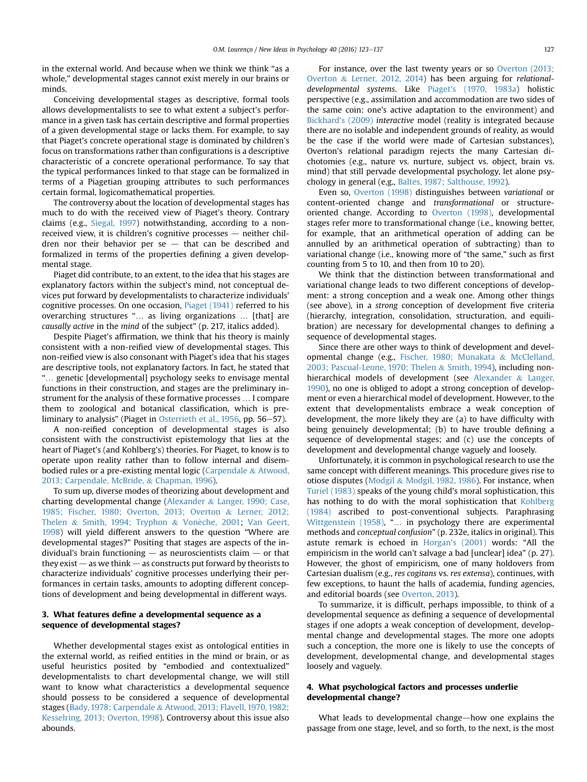in the external world. And because when we think we think "as a whole," developmental stages cannot exist merely in our brains or minds.

Conceiving developmental stages as descriptive, formal tools allows developmentalists to see to what extent a subject's performance in a given task has certain descriptive and formal properties of a given developmental stage or lacks them. For example, to say that Piaget's concrete operational stage is dominated by children's focus on transformations rather than configurations is a descriptive characteristic of a concrete operational performance. To say that the typical performances linked to that stage can be formalized in terms of a Piagetian grouping attributes to such performances certain formal, logicomathematical properties.

The controversy about the location of developmental stages has much to do with the received view of Piaget's theory. Contrary claims (e.g., [Siegal, 1997](#page-14-0)) notwithstanding, according to a nonreceived view, it is children's cognitive processes  $-$  neither children nor their behavior per  $se$  - that can be described and formalized in terms of the properties defining a given developmental stage.

Piaget did contribute, to an extent, to the idea that his stages are explanatory factors within the subject's mind, not conceptual devices put forward by developmentalists to characterize individuals' cognitive processes. On one occasion, [Piaget \(1941\)](#page-13-0) referred to his overarching structures "… as living organizations … [that] are causally active in the mind of the subject" (p. 217, italics added).

Despite Piaget's affirmation, we think that his theory is mainly consistent with a non-reified view of developmental stages. This non-reified view is also consonant with Piaget's idea that his stages are descriptive tools, not explanatory factors. In fact, he stated that "… genetic [developmental] psychology seeks to envisage mental functions in their construction, and stages are the preliminary instrument for the analysis of these formative processes … I compare them to zoological and botanical classification, which is pre-liminary to analysis" (Piaget in [Osterrieth et al., 1956,](#page-13-0) pp. 56–57).

A non-reified conception of developmental stages is also consistent with the constructivist epistemology that lies at the heart of Piaget's (and Kohlberg's) theories. For Piaget, to know is to operate upon reality rather than to follow internal and disembodied rules or a pre-existing mental logic [\(Carpendale](#page-12-0) & [Atwood,](#page-12-0) [2013; Carpendale, McBride,](#page-12-0) & [Chapman, 1996\)](#page-12-0).

To sum up, diverse modes of theorizing about development and charting developmental change ([Alexander](#page-11-0) & [Langer, 1990; Case,](#page-11-0) [1985; Fischer, 1980; Overton, 2013; Overton](#page-11-0) & [Lerner, 2012;](#page-11-0) [Thelen](#page-11-0) & [Smith, 1994; Tryphon](#page-11-0) & Vonèche, 2001; [Van Geert,](#page-14-0) [1998\)](#page-14-0) will yield different answers to the question "Where are developmental stages?" Positing that stages are aspects of the individual's brain functioning  $-$  as neuroscientists claim  $-$  or that they exist  $-$  as we think  $-$  as constructs put forward by theorists to characterize individuals' cognitive processes underlying their performances in certain tasks, amounts to adopting different conceptions of development and being developmental in different ways.

## 3. What features define a developmental sequence as a sequence of developmental stages?

Whether developmental stages exist as ontological entities in the external world, as reified entities in the mind or brain, or as useful heuristics posited by "embodied and contextualized" developmentalists to chart developmental change, we will still want to know what characteristics a developmental sequence should possess to be considered a sequence of developmental stages ([Bady, 1978; Carpendale](#page-11-0) & [Atwood, 2013; Flavell, 1970, 1982;](#page-11-0) [Kesselring, 2013; Overton, 1998\)](#page-11-0). Controversy about this issue also abounds.

For instance, over the last twenty years or so [Overton \(2013;](#page-13-0) [Overton](#page-13-0) & [Lerner, 2012, 2014\)](#page-13-0) has been arguing for relationaldevelopmental systems. Like [Piaget's \(1970, 1983a](#page-13-0)) holistic perspective (e.g., assimilation and accommodation are two sides of the same coin: one's active adaptation to the environment) and [Bickhard's \(2009\)](#page-11-0) interactive model (reality is integrated because there are no isolable and independent grounds of reality, as would be the case if the world were made of Cartesian substances), Overton's relational paradigm rejects the many Cartesian dichotomies (e.g., nature vs. nurture, subject vs. object, brain vs. mind) that still pervade developmental psychology, let alone psychology in general (e.g., [Baltes, 1987; Salthouse, 1992\)](#page-11-0).

Even so, [Overton \(1998\)](#page-13-0) distinguishes between variational or content-oriented change and transformational or structureoriented change. According to [Overton \(1998\),](#page-13-0) developmental stages refer more to transformational change (i.e., knowing better, for example, that an arithmetical operation of adding can be annulled by an arithmetical operation of subtracting) than to variational change (i.e., knowing more of "the same," such as first counting from 5 to 10, and then from 10 to 20).

We think that the distinction between transformational and variational change leads to two different conceptions of development: a strong conception and a weak one. Among other things (see above), in a strong conception of development five criteria (hierarchy, integration, consolidation, structuration, and equilibration) are necessary for developmental changes to defining a sequence of developmental stages.

Since there are other ways to think of development and developmental change (e.g., [Fischer, 1980; Munakata](#page-12-0) & [McClelland,](#page-12-0) [2003; Pascual-Leone, 1970; Thelen](#page-12-0) & [Smith, 1994](#page-12-0)), including non-hierarchical models of development (see [Alexander](#page-11-0) & [Langer,](#page-11-0) [1990\)](#page-11-0), no one is obliged to adopt a strong conception of development or even a hierarchical model of development. However, to the extent that developmentalists embrace a weak conception of development, the more likely they are (a) to have difficulty with being genuinely developmental; (b) to have trouble defining a sequence of developmental stages; and (c) use the concepts of development and developmental change vaguely and loosely.

Unfortunately, it is common in psychological research to use the same concept with different meanings. This procedure gives rise to otiose disputes ([Modgil](#page-13-0) & [Modgil, 1982, 1986](#page-13-0)). For instance, when [Turiel \(1983\)](#page-14-0) speaks of the young child's moral sophistication, this has nothing to do with the moral sophistication that [Kohlberg](#page-13-0) [\(1984\)](#page-13-0) ascribed to post-conventional subjects. Paraphrasing [Wittgenstein \(1958\),](#page-14-0) "… in psychology there are experimental methods and conceptual confusion" (p. 232e, italics in original). This astute remark is echoed in [Horgan's \(2001\)](#page-12-0) words: "All the empiricism in the world can't salvage a bad [unclear] idea" (p. 27). However, the ghost of empiricism, one of many holdovers from Cartesian dualism (e.g., res cogitans vs. res extensa), continues, with few exceptions, to haunt the halls of academia, funding agencies, and editorial boards (see [Overton, 2013](#page-13-0)).

To summarize, it is difficult, perhaps impossible, to think of a developmental sequence as defining a sequence of developmental stages if one adopts a weak conception of development, developmental change and developmental stages. The more one adopts such a conception, the more one is likely to use the concepts of development, developmental change, and developmental stages loosely and vaguely.

## 4. What psychological factors and processes underlie developmental change?

What leads to developmental change—how one explains the passage from one stage, level, and so forth, to the next, is the most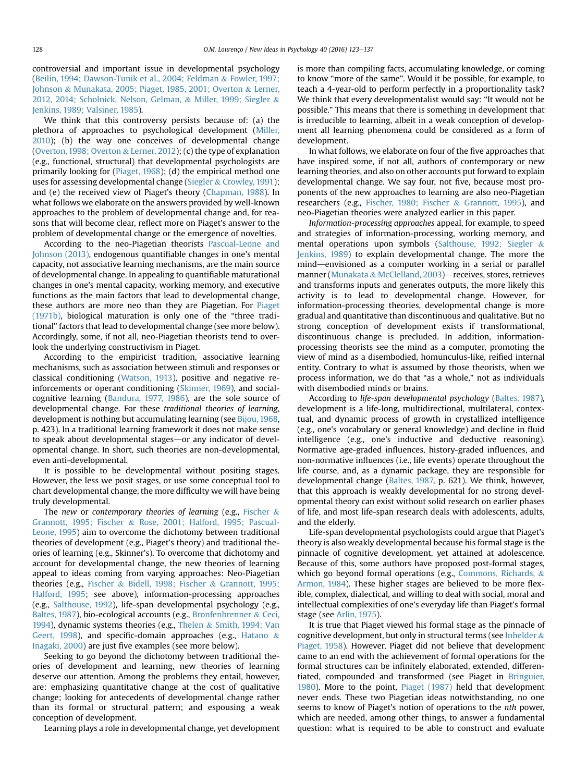controversial and important issue in developmental psychology ([Beilin, 1994; Dawson-Tunik et al., 2004; Feldman](#page-11-0) & [Fowler, 1997;](#page-11-0) [Johnson](#page-11-0) & [Munakata, 2005; Piaget, 1985, 2001; Overton](#page-11-0) & [Lerner,](#page-11-0) [2012, 2014; Scholnick, Nelson, Gelman,](#page-11-0) & [Miller, 1999; Siegler](#page-11-0) & [Jenkins, 1989; Valsiner, 1985](#page-11-0)).

We think that this controversy persists because of: (a) the plethora of approaches to psychological development ([Miller,](#page-13-0) [2010](#page-13-0)); (b) the way one conceives of developmental change ([Overton, 1998; Overton](#page-13-0) & [Lerner, 2012\)](#page-13-0); (c) the type of explanation (e.g., functional, structural) that developmental psychologists are primarily looking for [\(Piaget, 1968\)](#page-13-0); (d) the empirical method one uses for assessing developmental change [\(Siegler](#page-14-0) & [Crowley, 1991](#page-14-0)); and (e) the received view of Piaget's theory [\(Chapman, 1988](#page-12-0)). In what follows we elaborate on the answers provided by well-known approaches to the problem of developmental change and, for reasons that will become clear, reflect more on Piaget's answer to the problem of developmental change or the emergence of novelties.

According to the neo-Piagetian theorists [Pascual-Leone and](#page-13-0) [Johnson \(2013\)](#page-13-0), endogenous quantifiable changes in one's mental capacity, not associative learning mechanisms, are the main source of developmental change. In appealing to quantifiable maturational changes in one's mental capacity, working memory, and executive functions as the main factors that lead to developmental change, these authors are more neo than they are Piagetian. For [Piaget](#page-13-0) [\(1971b\),](#page-13-0) biological maturation is only one of the "three traditional" factors that lead to developmental change (see more below). Accordingly, some, if not all, neo-Piagetian theorists tend to overlook the underlying constructivism in Piaget.

According to the empiricist tradition, associative learning mechanisms, such as association between stimuli and responses or classical conditioning ([Watson, 1913](#page-14-0)), positive and negative reinforcements or operant conditioning ([Skinner, 1969](#page-14-0)), and socialcognitive learning ([Bandura, 1977, 1986\)](#page-11-0), are the sole source of developmental change. For these traditional theories of learning, development is nothing but accumulating learning (see [Bijou, 1968,](#page-11-0) p. 423). In a traditional learning framework it does not make sense to speak about developmental stages—or any indicator of developmental change. In short, such theories are non-developmental, even anti-developmental.

It is possible to be developmental without positing stages. However, the less we posit stages, or use some conceptual tool to chart developmental change, the more difficulty we will have being truly developmental.

The new or contemporary theories of learning (e.g., [Fischer](#page-12-0)  $\&$ [Grannott, 1995; Fischer](#page-12-0) & [Rose, 2001; Halford, 1995; Pascual-](#page-12-0)[Leone, 1995\)](#page-12-0) aim to overcome the dichotomy between traditional theories of development (e.g., Piaget's theory) and traditional theories of learning (e.g., Skinner's). To overcome that dichotomy and account for developmental change, the new theories of learning appeal to ideas coming from varying approaches: Neo-Piagetian theories (e.g., [Fischer](#page-12-0) & [Bidell, 1998; Fischer](#page-12-0) & [Grannott, 1995;](#page-12-0) [Halford, 1995;](#page-12-0) see above), information-processing approaches (e.g., [Salthouse, 1992](#page-14-0)), life-span developmental psychology (e.g., [Baltes, 1987](#page-11-0)), bio-ecological accounts (e.g., [Bronfenbrenner](#page-12-0) & [Ceci,](#page-12-0) [1994](#page-12-0)), dynamic systems theories (e.g., [Thelen](#page-14-0) & [Smith, 1994; Van](#page-14-0) [Geert, 1998\)](#page-14-0), and specific-domain approaches (e.g., [Hatano](#page-12-0)  $\&$ [Inagaki, 2000](#page-12-0)) are just five examples (see more below).

Seeking to go beyond the dichotomy between traditional theories of development and learning, new theories of learning deserve our attention. Among the problems they entail, however, are: emphasizing quantitative change at the cost of qualitative change; looking for antecedents of developmental change rather than its formal or structural pattern; and espousing a weak conception of development.

Learning plays a role in developmental change, yet development

is more than compiling facts, accumulating knowledge, or coming to know "more of the same". Would it be possible, for example, to teach a 4-year-old to perform perfectly in a proportionality task? We think that every developmentalist would say: "It would not be possible." This means that there is something in development that is irreducible to learning, albeit in a weak conception of development all learning phenomena could be considered as a form of development.

In what follows, we elaborate on four of the five approaches that have inspired some, if not all, authors of contemporary or new learning theories, and also on other accounts put forward to explain developmental change. We say four, not five, because most proponents of the new approaches to learning are also neo-Piagetian researchers (e.g., [Fischer, 1980; Fischer](#page-12-0) & [Grannott, 1995](#page-12-0)), and neo-Piagetian theories were analyzed earlier in this paper.

Information-processing approaches appeal, for example, to speed and strategies of information-processing, working memory, and mental operations upon symbols ([Salthouse, 1992; Siegler](#page-14-0) & [Jenkins, 1989](#page-14-0)) to explain developmental change. The more the mind—envisioned as a computer working in a serial or parallel manner ([Munakata](#page-13-0) & [McClelland, 2003\)](#page-13-0)—receives, stores, retrieves and transforms inputs and generates outputs, the more likely this activity is to lead to developmental change. However, for information-processing theories, developmental change is more gradual and quantitative than discontinuous and qualitative. But no strong conception of development exists if transformational, discontinuous change is precluded. In addition, informationprocessing theorists see the mind as a computer, promoting the view of mind as a disembodied, homunculus-like, reified internal entity. Contrary to what is assumed by those theorists, when we process information, we do that "as a whole," not as individuals with disembodied minds or brains.

According to life-span developmental psychology ([Baltes, 1987\)](#page-11-0), development is a life-long, multidirectional, multilateral, contextual, and dynamic process of growth in crystallized intelligence (e.g., one's vocabulary or general knowledge) and decline in fluid intelligence (e.g., one's inductive and deductive reasoning). Normative age-graded influences, history-graded influences, and non-normative influences (i.e., life events) operate throughout the life course, and, as a dynamic package, they are responsible for developmental change ([Baltes, 1987,](#page-11-0) p. 621). We think, however, that this approach is weakly developmental for no strong developmental theory can exist without solid research on earlier phases of life, and most life-span research deals with adolescents, adults, and the elderly.

Life-span developmental psychologists could argue that Piaget's theory is also weakly developmental because his formal stage is the pinnacle of cognitive development, yet attained at adolescence. Because of this, some authors have proposed post-formal stages, which go beyond formal operations (e.g., [Commons, Richards,](#page-12-0) & [Armon, 1984\)](#page-12-0). These higher stages are believed to be more flexible, complex, dialectical, and willing to deal with social, moral and intellectual complexities of one's everyday life than Piaget's formal stage (see [Arlin, 1975](#page-11-0)).

It is true that Piaget viewed his formal stage as the pinnacle of cognitive development, but only in structural terms (see [Inhelder](#page-12-0)  $\&$ [Piaget, 1958](#page-12-0)). However, Piaget did not believe that development came to an end with the achievement of formal operations for the formal structures can be infinitely elaborated, extended, differentiated, compounded and transformed (see Piaget in [Bringuier,](#page-11-0) [1980](#page-11-0)). More to the point, [Piaget \(1987\)](#page-13-0) held that development never ends. These two Piagetian ideas notwithstanding, no one seems to know of Piaget's notion of operations to the nth power, which are needed, among other things, to answer a fundamental question: what is required to be able to construct and evaluate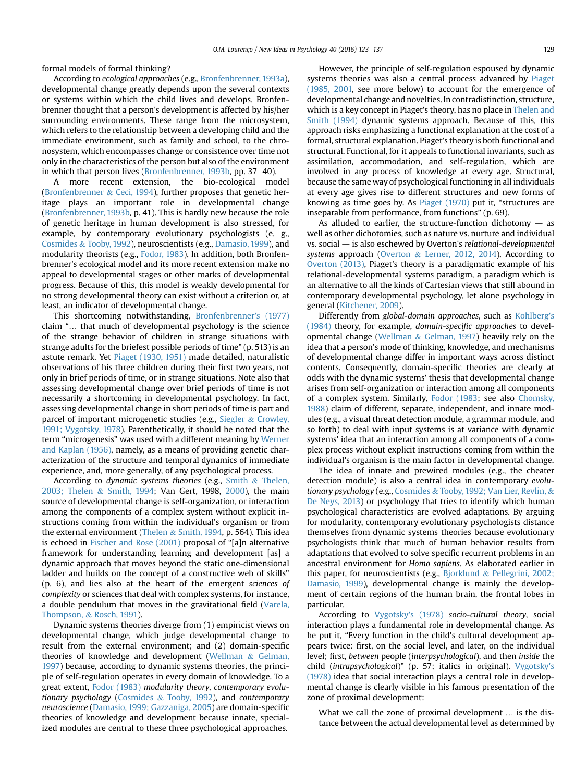formal models of formal thinking?

According to ecological approaches (e.g., [Bronfenbrenner, 1993a\)](#page-12-0), developmental change greatly depends upon the several contexts or systems within which the child lives and develops. Bronfenbrenner thought that a person's development is affected by his/her surrounding environments. These range from the microsystem, which refers to the relationship between a developing child and the immediate environment, such as family and school, to the chronosystem, which encompasses change or consistence over time not only in the characteristics of the person but also of the environment in which that person lives ([Bronfenbrenner, 1993b](#page-12-0), pp. 37 $-40$ ).

A more recent extension, the bio-ecological model ([Bronfenbrenner](#page-12-0) & [Ceci, 1994\)](#page-12-0), further proposes that genetic heritage plays an important role in developmental change ([Bronfenbrenner, 1993b,](#page-12-0) p. 41). This is hardly new because the role of genetic heritage in human development is also stressed, for example, by contemporary evolutionary psychologists (e. g., [Cosmides](#page-12-0) & [Tooby, 1992\)](#page-12-0), neuroscientists (e.g., [Damasio, 1999\)](#page-12-0), and modularity theorists (e.g., [Fodor, 1983\)](#page-12-0). In addition, both Bronfenbrenner's ecological model and its more recent extension make no appeal to developmental stages or other marks of developmental progress. Because of this, this model is weakly developmental for no strong developmental theory can exist without a criterion or, at least, an indicator of developmental change.

This shortcoming notwithstanding, [Bronfenbrenner's \(1977\)](#page-11-0) claim "… that much of developmental psychology is the science of the strange behavior of children in strange situations with strange adults for the briefest possible periods of time" (p. 513) is an astute remark. Yet [Piaget \(1930, 1951\)](#page-13-0) made detailed, naturalistic observations of his three children during their first two years, not only in brief periods of time, or in strange situations. Note also that assessing developmental change over brief periods of time is not necessarily a shortcoming in developmental psychology. In fact, assessing developmental change in short periods of time is part and parcel of important microgenetic studies (e.g., [Siegler](#page-14-0) & [Crowley,](#page-14-0) [1991; Vygotsky, 1978\)](#page-14-0). Parenthetically, it should be noted that the term "microgenesis" was used with a different meaning by [Werner](#page-14-0) [and Kaplan \(1956\),](#page-14-0) namely, as a means of providing genetic characterization of the structure and temporal dynamics of immediate experience, and, more generally, of any psychological process.

According to dynamic systems theories (e.g., [Smith](#page-14-0) & [Thelen,](#page-14-0) [2003; Thelen](#page-14-0) & [Smith, 1994](#page-14-0); Van Gert, 1998, [2000](#page-14-0)), the main source of developmental change is self-organization, or interaction among the components of a complex system without explicit instructions coming from within the individual's organism or from the external environment ([Thelen](#page-14-0) & [Smith, 1994](#page-14-0), p. 564). This idea is echoed in [Fischer and Rose \(2001\)](#page-12-0) proposal of "[a]n alternative framework for understanding learning and development [as] a dynamic approach that moves beyond the static one-dimensional ladder and builds on the concept of a constructive web of skills" (p. 6), and lies also at the heart of the emergent sciences of complexity or sciences that deal with complex systems, for instance, a double pendulum that moves in the gravitational field ([Varela,](#page-14-0) [Thompson,](#page-14-0) & [Rosch, 1991\)](#page-14-0).

Dynamic systems theories diverge from (1) empiricist views on developmental change, which judge developmental change to result from the external environment; and (2) domain-specific theories of knowledge and development [\(Wellman](#page-14-0) & [Gelman,](#page-14-0) [1997\)](#page-14-0) because, according to dynamic systems theories, the principle of self-regulation operates in every domain of knowledge. To a great extent, [Fodor \(1983\)](#page-12-0) modularity theory, contemporary evolutionary psychology ([Cosmides](#page-12-0) & [Tooby, 1992\)](#page-12-0), and contemporary neuroscience [\(Damasio, 1999; Gazzaniga, 2005\)](#page-12-0) are domain-specific theories of knowledge and development because innate, specialized modules are central to these three psychological approaches.

However, the principle of self-regulation espoused by dynamic systems theories was also a central process advanced by [Piaget](#page-13-0) [\(1985, 2001,](#page-13-0) see more below) to account for the emergence of developmental change and novelties. In contradistinction, structure, which is a key concept in Piaget's theory, has no place in [Thelen and](#page-14-0) [Smith \(1994\)](#page-14-0) dynamic systems approach. Because of this, this approach risks emphasizing a functional explanation at the cost of a formal, structural explanation. Piaget's theory is both functional and structural. Functional, for it appeals to functional invariants, such as assimilation, accommodation, and self-regulation, which are involved in any process of knowledge at every age. Structural, because the same way of psychological functioning in all individuals at every age gives rise to different structures and new forms of knowing as time goes by. As [Piaget \(1970\)](#page-13-0) put it, "structures are inseparable from performance, from functions" (p. 69).

As alluded to earlier, the structure-function dichotomy  $-$  as well as other dichotomies, such as nature vs. nurture and individual vs. social  $-$  is also eschewed by Overton's relational-developmental systems approach [\(Overton](#page-13-0) & [Lerner, 2012, 2014\)](#page-13-0). According to [Overton \(2013\),](#page-13-0) Piaget's theory is a paradigmatic example of his relational-developmental systems paradigm, a paradigm which is an alternative to all the kinds of Cartesian views that still abound in contemporary developmental psychology, let alone psychology in general ([Kitchener, 2009\)](#page-13-0).

Differently from global-domain approaches, such as [Kohlberg's](#page-13-0) [\(1984\)](#page-13-0) theory, for example, domain-specific approaches to developmental change ([Wellman](#page-14-0) & [Gelman, 1997](#page-14-0)) heavily rely on the idea that a person's mode of thinking, knowledge, and mechanisms of developmental change differ in important ways across distinct contents. Consequently, domain-specific theories are clearly at odds with the dynamic systems' thesis that developmental change arises from self-organization or interaction among all components of a complex system. Similarly, [Fodor \(1983;](#page-12-0) see also [Chomsky,](#page-12-0) [1988\)](#page-12-0) claim of different, separate, independent, and innate modules (e.g., a visual threat detection module, a grammar module, and so forth) to deal with input systems is at variance with dynamic systems' idea that an interaction among all components of a complex process without explicit instructions coming from within the individual's organism is the main factor in developmental change.

The idea of innate and prewired modules (e.g., the cheater detection module) is also a central idea in contemporary evolutionary psychology (e.g., [Cosmides](#page-12-0) & [Tooby, 1992; Van Lier, Revlin,](#page-12-0) & [De Neys, 2013](#page-12-0)) or psychology that tries to identify which human psychological characteristics are evolved adaptations. By arguing for modularity, contemporary evolutionary psychologists distance themselves from dynamic systems theories because evolutionary psychologists think that much of human behavior results from adaptations that evolved to solve specific recurrent problems in an ancestral environment for Homo sapiens. As elaborated earlier in this paper, for neuroscientists (e.g., [Bjorklund](#page-11-0) & [Pellegrini, 2002;](#page-11-0) [Damasio, 1999\)](#page-11-0), developmental change is mainly the development of certain regions of the human brain, the frontal lobes in particular.

According to [Vygotsky's \(1978\)](#page-14-0) socio-cultural theory, social interaction plays a fundamental role in developmental change. As he put it, "Every function in the child's cultural development appears twice: first, on the social level, and later, on the individual level; first, between people (interpsychological), and then inside the child (intrapsychological)" (p. 57; italics in original). [Vygotsky's](#page-14-0) [\(1978\)](#page-14-0) idea that social interaction plays a central role in developmental change is clearly visible in his famous presentation of the zone of proximal development:

What we call the zone of proximal development … is the distance between the actual developmental level as determined by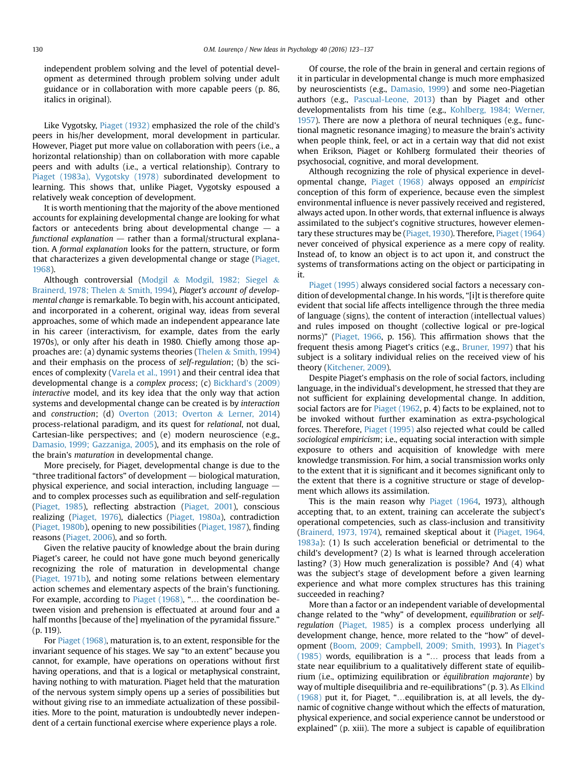independent problem solving and the level of potential development as determined through problem solving under adult guidance or in collaboration with more capable peers (p. 86, italics in original).

Like Vygotsky, [Piaget \(1932\)](#page-13-0) emphasized the role of the child's peers in his/her development, moral development in particular. However, Piaget put more value on collaboration with peers (i.e., a horizontal relationship) than on collaboration with more capable peers and with adults (i.e., a vertical relationship). Contrary to [Piaget \(1983a\), Vygotsky \(1978\)](#page-13-0) subordinated development to learning. This shows that, unlike Piaget, Vygotsky espoused a relatively weak conception of development.

It is worth mentioning that the majority of the above mentioned accounts for explaining developmental change are looking for what factors or antecedents bring about developmental change  $-$  a functional explanation  $-$  rather than a formal/structural explanation. A formal explanation looks for the pattern, structure, or form that characterizes a given developmental change or stage ([Piaget,](#page-13-0) [1968](#page-13-0)).

Although controversial ([Modgil](#page-13-0) & [Modgil, 1982; Siegel](#page-13-0) & [Brainerd, 1978; Thelen](#page-13-0) & [Smith, 1994\)](#page-13-0), Piaget's account of developmental change is remarkable. To begin with, his account anticipated, and incorporated in a coherent, original way, ideas from several approaches, some of which made an independent appearance late in his career (interactivism, for example, dates from the early 1970s), or only after his death in 1980. Chiefly among those approaches are: (a) dynamic systems theories ([Thelen](#page-14-0) & [Smith, 1994\)](#page-14-0) and their emphasis on the process of self-regulation; (b) the sciences of complexity [\(Varela et al., 1991\)](#page-14-0) and their central idea that developmental change is a complex process; (c) [Bickhard's \(2009\)](#page-11-0) interactive model, and its key idea that the only way that action systems and developmental change can be created is by interaction and construction; (d) [Overton \(2013; Overton](#page-13-0) & [Lerner, 2014\)](#page-13-0) process-relational paradigm, and its quest for relational, not dual, Cartesian-like perspectives; and (e) modern neuroscience (e.g., [Damasio, 1999; Gazzaniga, 2005](#page-12-0)), and its emphasis on the role of the brain's maturation in developmental change.

More precisely, for Piaget, developmental change is due to the "three traditional factors" of development  $-$  biological maturation, physical experience, and social interaction, including language  $$ and to complex processes such as equilibration and self-regulation ([Piaget, 1985](#page-13-0)), reflecting abstraction [\(Piaget, 2001\)](#page-13-0), conscious realizing [\(Piaget, 1976\)](#page-13-0), dialectics [\(Piaget, 1980a\)](#page-13-0), contradiction ([Piaget, 1980b\)](#page-13-0), opening to new possibilities ([Piaget, 1987\)](#page-13-0), finding reasons [\(Piaget, 2006\)](#page-14-0), and so forth.

Given the relative paucity of knowledge about the brain during Piaget's career, he could not have gone much beyond generically recognizing the role of maturation in developmental change ([Piaget, 1971b](#page-13-0)), and noting some relations between elementary action schemes and elementary aspects of the brain's functioning. For example, according to [Piaget \(1968\)](#page-13-0), "… the coordination between vision and prehension is effectuated at around four and a half months [because of the] myelination of the pyramidal fissure." (p. 119).

For [Piaget \(1968\),](#page-13-0) maturation is, to an extent, responsible for the invariant sequence of his stages. We say "to an extent" because you cannot, for example, have operations on operations without first having operations, and that is a logical or metaphysical constraint, having nothing to with maturation. Piaget held that the maturation of the nervous system simply opens up a series of possibilities but without giving rise to an immediate actualization of these possibilities. More to the point, maturation is undoubtedly never independent of a certain functional exercise where experience plays a role.

Of course, the role of the brain in general and certain regions of it in particular in developmental change is much more emphasized by neuroscientists (e.g., [Damasio, 1999\)](#page-12-0) and some neo-Piagetian authors (e.g., [Pascual-Leone, 2013](#page-13-0)) than by Piaget and other developmentalists from his time (e.g., [Kohlberg, 1984; Werner,](#page-13-0) [1957\)](#page-13-0). There are now a plethora of neural techniques (e.g., functional magnetic resonance imaging) to measure the brain's activity when people think, feel, or act in a certain way that did not exist when Erikson, Piaget or Kohlberg formulated their theories of psychosocial, cognitive, and moral development.

Although recognizing the role of physical experience in developmental change, [Piaget \(1968\)](#page-13-0) always opposed an empiricist conception of this form of experience, because even the simplest environmental influence is never passively received and registered, always acted upon. In other words, that external influence is always assimilated to the subject's cognitive structures, however elementary these structures may be [\(Piaget, 1930\)](#page-13-0). Therefore, [Piaget \(1964\)](#page-13-0) never conceived of physical experience as a mere copy of reality. Instead of, to know an object is to act upon it, and construct the systems of transformations acting on the object or participating in it.

[Piaget \(1995\)](#page-13-0) always considered social factors a necessary condition of developmental change. In his words, "[i]t is therefore quite evident that social life affects intelligence through the three media of language (signs), the content of interaction (intellectual values) and rules imposed on thought (collective logical or pre-logical norms)" ([Piaget, 1966,](#page-13-0) p. 156). This affirmation shows that the frequent thesis among Piaget's critics (e.g., [Bruner, 1997](#page-12-0)) that his subject is a solitary individual relies on the received view of his theory [\(Kitchener, 2009\)](#page-13-0).

Despite Piaget's emphasis on the role of social factors, including language, in the individual's development, he stressed that they are not sufficient for explaining developmental change. In addition, social factors are for [Piaget \(1962](#page-13-0), p. 4) facts to be explained, not to be invoked without further examination as extra-psychological forces. Therefore, [Piaget \(1995\)](#page-13-0) also rejected what could be called sociological empiricism; i.e., equating social interaction with simple exposure to others and acquisition of knowledge with mere knowledge transmission. For him, a social transmission works only to the extent that it is significant and it becomes significant only to the extent that there is a cognitive structure or stage of development which allows its assimilation.

This is the main reason why [Piaget \(1964](#page-13-0), 1973), although accepting that, to an extent, training can accelerate the subject's operational competencies, such as class-inclusion and transitivity ([Brainerd, 1973, 1974\)](#page-11-0), remained skeptical about it ([Piaget, 1964,](#page-13-0) [1983a\)](#page-13-0): (1) Is such acceleration beneficial or detrimental to the child's development? (2) Is what is learned through acceleration lasting? (3) How much generalization is possible? And (4) what was the subject's stage of development before a given learning experience and what more complex structures has this training succeeded in reaching?

More than a factor or an independent variable of developmental change related to the "why" of development, equilibration or selfregulation [\(Piaget, 1985\)](#page-13-0) is a complex process underlying all development change, hence, more related to the "how" of development [\(Boom, 2009; Campbell, 2009; Smith, 1993](#page-11-0)). In [Piaget's](#page-13-0) [\(1985\)](#page-13-0) words, equilibration is a "… process that leads from a state near equilibrium to a qualitatively different state of equilibrium (i.e., optimizing equilibration or équilibration majorante) by way of multiple disequilibria and re-equilibrations" (p. 3). As [Elkind](#page-12-0) [\(1968\)](#page-12-0) put it, for Piaget, "…equilibration is, at all levels, the dynamic of cognitive change without which the effects of maturation, physical experience, and social experience cannot be understood or explained" (p. xiii). The more a subject is capable of equilibration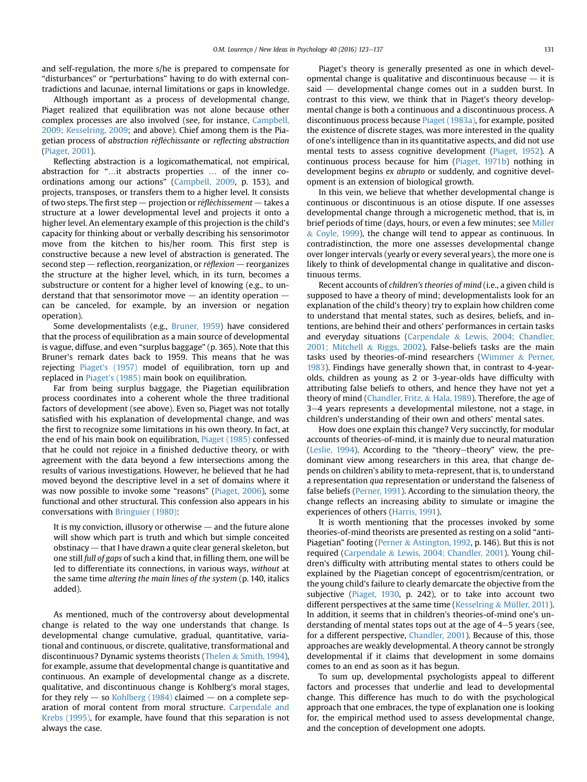and self-regulation, the more s/he is prepared to compensate for "disturbances" or "perturbations" having to do with external contradictions and lacunae, internal limitations or gaps in knowledge.

Although important as a process of developmental change, Piaget realized that equilibration was not alone because other complex processes are also involved (see, for instance, [Campbell,](#page-12-0) [2009; Kesselring, 2009;](#page-12-0) and above). Chief among them is the Piagetian process of abstraction réfléchissante or reflecting abstraction ([Piaget, 2001\)](#page-13-0).

Reflecting abstraction is a logicomathematical, not empirical, abstraction for "…it abstracts properties … of the inner coordinations among our actions" ([Campbell, 2009](#page-12-0), p. 153), and projects, transposes, or transfers them to a higher level. It consists of two steps. The first step — projection or réfléchissement — takes a structure at a lower developmental level and projects it onto a higher level. An elementary example of this projection is the child's capacity for thinking about or verbally describing his sensorimotor move from the kitchen to his/her room. This first step is constructive because a new level of abstraction is generated. The second step – reflection, reorganization, or réflexion – reorganizes the structure at the higher level, which, in its turn, becomes a substructure or content for a higher level of knowing (e.g., to understand that that sensorimotor move  $-$  an identity operation  $$ can be canceled, for example, by an inversion or negation operation).

Some developmentalists (e.g., [Bruner, 1959](#page-12-0)) have considered that the process of equilibration as a main source of developmental is vague, diffuse, and even "surplus baggage" (p. 365). Note that this Bruner's remark dates back to 1959. This means that he was rejecting [Piaget's \(1957\)](#page-13-0) model of equilibration, torn up and replaced in [Piaget's \(1985\)](#page-13-0) main book on equilibration.

Far from being surplus baggage, the Piagetian equilibration process coordinates into a coherent whole the three traditional factors of development (see above). Even so, Piaget was not totally satisfied with his explanation of developmental change, and was the first to recognize some limitations in his own theory. In fact, at the end of his main book on equilibration, [Piaget \(1985\)](#page-13-0) confessed that he could not rejoice in a finished deductive theory, or with agreement with the data beyond a few intersections among the results of various investigations. However, he believed that he had moved beyond the descriptive level in a set of domains where it was now possible to invoke some "reasons" [\(Piaget, 2006](#page-14-0)), some functional and other structural. This confession also appears in his conversations with [Bringuier \(1980\)](#page-11-0):

It is my conviction, illusory or otherwise  $-$  and the future alone will show which part is truth and which but simple conceited obstinacy  $-$  that I have drawn a quite clear general skeleton, but one still full of gaps of such a kind that, in filling them, one will be led to differentiate its connections, in various ways, without at the same time altering the main lines of the system (p. 140, italics added).

As mentioned, much of the controversy about developmental change is related to the way one understands that change. Is developmental change cumulative, gradual, quantitative, variational and continuous, or discrete, qualitative, transformational and discontinuous? Dynamic systems theorists [\(Thelen](#page-14-0) & [Smith, 1994\)](#page-14-0), for example, assume that developmental change is quantitative and continuous. An example of developmental change as a discrete, qualitative, and discontinuous change is Kohlberg's moral stages, for they rely  $-$  so [Kohlberg \(1984\)](#page-13-0) claimed  $-$  on a complete separation of moral content from moral structure. [Carpendale and](#page-12-0) [Krebs \(1995\)](#page-12-0), for example, have found that this separation is not always the case.

Piaget's theory is generally presented as one in which developmental change is qualitative and discontinuous because  $-$  it is  $said$  - developmental change comes out in a sudden burst. In contrast to this view, we think that in Piaget's theory developmental change is both a continuous and a discontinuous process. A discontinuous process because [Piaget \(1983a\)](#page-13-0), for example, posited the existence of discrete stages, was more interested in the quality of one's intelligence than in its quantitative aspects, and did not use mental tests to assess cognitive development [\(Piaget, 1952\)](#page-13-0). A continuous process because for him [\(Piaget, 1971b\)](#page-13-0) nothing in development begins ex abrupto or suddenly, and cognitive development is an extension of biological growth.

In this vein, we believe that whether developmental change is continuous or discontinuous is an otiose dispute. If one assesses developmental change through a microgenetic method, that is, in brief periods of time (days, hours, or even a few minutes; see [Miller](#page-13-0)  $&$  [Coyle, 1999\)](#page-13-0), the change will tend to appear as continuous. In contradistinction, the more one assesses developmental change over longer intervals (yearly or every several years), the more one is likely to think of developmental change in qualitative and discontinuous terms.

Recent accounts of children's theories of mind (i.e., a given child is supposed to have a theory of mind; developmentalists look for an explanation of the child's theory) try to explain how children come to understand that mental states, such as desires, beliefs, and intentions, are behind their and others' performances in certain tasks and everyday situations ([Carpendale](#page-12-0) & [Lewis, 2004; Chandler,](#page-12-0) [2001; Mitchell](#page-12-0) & [Riggs, 2002](#page-12-0)). False-beliefs tasks are the main tasks used by theories-of-mind researchers [\(Wimmer](#page-14-0) & [Perner,](#page-14-0) [1983\)](#page-14-0). Findings have generally shown that, in contrast to 4-yearolds, children as young as 2 or 3-year-olds have difficulty with attributing false beliefs to others, and hence they have not yet a theory of mind ([Chandler, Fritz,](#page-12-0) & [Hala, 1989](#page-12-0)). Therefore, the age of 3-4 years represents a developmental milestone, not a stage, in children's understanding of their own and others' mental sates.

How does one explain this change? Very succinctly, for modular accounts of theories-of-mind, it is mainly due to neural maturation (Leslie,  $1994$ ). According to the "theory-theory" view, the predominant view among researchers in this area, that change depends on children's ability to meta-represent, that is, to understand a representation qua representation or understand the falseness of false beliefs ([Perner, 1991](#page-13-0)). According to the simulation theory, the change reflects an increasing ability to simulate or imagine the experiences of others [\(Harris, 1991](#page-12-0)).

It is worth mentioning that the processes invoked by some theories-of-mind theorists are presented as resting on a solid "anti-Piagetian" footing ([Perner](#page-13-0) & [Astington, 1992,](#page-13-0) p. 146). But this is not required [\(Carpendale](#page-12-0) & [Lewis, 2004; Chandler, 2001\)](#page-12-0). Young children's difficulty with attributing mental states to others could be explained by the Piagetian concept of egocentrism/centration, or the young child's failure to clearly demarcate the objective from the subjective [\(Piaget, 1930](#page-13-0), p. 242), or to take into account two different perspectives at the same time [\(Kesselring](#page-13-0) & [Müller, 2011\)](#page-13-0). In addition, it seems that in children's theories-of-mind one's understanding of mental states tops out at the age of  $4-5$  years (see, for a different perspective, [Chandler, 2001\)](#page-12-0). Because of this, those approaches are weakly developmental. A theory cannot be strongly developmental if it claims that development in some domains comes to an end as soon as it has begun.

To sum up, developmental psychologists appeal to different factors and processes that underlie and lead to developmental change. This difference has much to do with the psychological approach that one embraces, the type of explanation one is looking for, the empirical method used to assess developmental change, and the conception of development one adopts.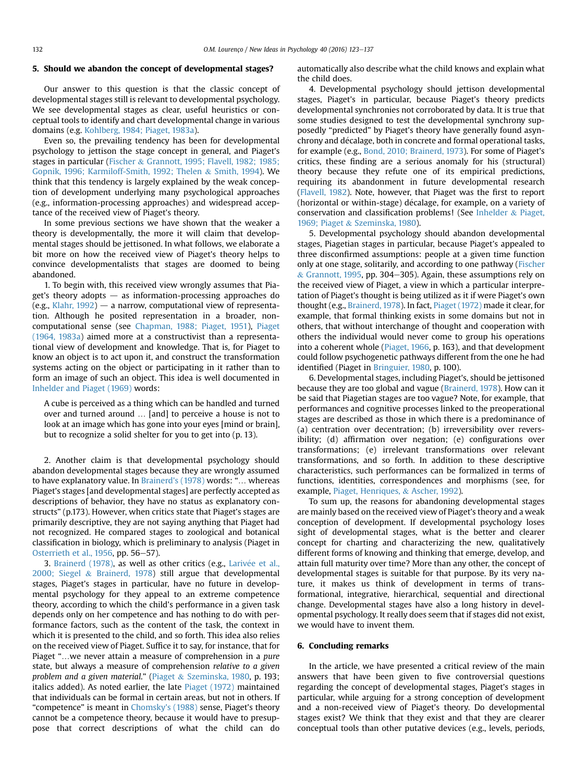## 5. Should we abandon the concept of developmental stages?

Our answer to this question is that the classic concept of developmental stages still is relevant to developmental psychology. We see developmental stages as clear, useful heuristics or conceptual tools to identify and chart developmental change in various domains (e.g. [Kohlberg, 1984; Piaget, 1983a](#page-13-0)).

Even so, the prevailing tendency has been for developmental psychology to jettison the stage concept in general, and Piaget's stages in particular ([Fischer](#page-12-0) & [Grannott, 1995; Flavell, 1982; 1985;](#page-12-0) [Gopnik, 1996; Karmiloff-Smith, 1992; Thelen](#page-12-0) & [Smith, 1994](#page-12-0)). We think that this tendency is largely explained by the weak conception of development underlying many psychological approaches (e.g., information-processing approaches) and widespread acceptance of the received view of Piaget's theory.

In some previous sections we have shown that the weaker a theory is developmentally, the more it will claim that developmental stages should be jettisoned. In what follows, we elaborate a bit more on how the received view of Piaget's theory helps to convince developmentalists that stages are doomed to being abandoned.

1. To begin with, this received view wrongly assumes that Piaget's theory adopts  $-$  as information-processing approaches do (e.g., [Klahr, 1992\)](#page-13-0)  $-$  a narrow, computational view of representation. Although he posited representation in a broader, noncomputational sense (see [Chapman, 1988; Piaget, 1951](#page-12-0)), [Piaget](#page-13-0) [\(1964, 1983a\)](#page-13-0) aimed more at a constructivist than a representational view of development and knowledge. That is, for Piaget to know an object is to act upon it, and construct the transformation systems acting on the object or participating in it rather than to form an image of such an object. This idea is well documented in [Inhelder and Piaget \(1969\)](#page-12-0) words:

A cube is perceived as a thing which can be handled and turned over and turned around … [and] to perceive a house is not to look at an image which has gone into your eyes [mind or brain], but to recognize a solid shelter for you to get into (p. 13).

2. Another claim is that developmental psychology should abandon developmental stages because they are wrongly assumed to have explanatory value. In [Brainerd's \(1978\)](#page-11-0) words: "… whereas Piaget's stages [and developmental stages] are perfectly accepted as descriptions of behavior, they have no status as explanatory constructs" (p.173). However, when critics state that Piaget's stages are primarily descriptive, they are not saying anything that Piaget had not recognized. He compared stages to zoological and botanical classification in biology, which is preliminary to analysis (Piaget in [Osterrieth et al., 1956](#page-13-0), pp. 56-57).

3. [Brainerd \(1978\),](#page-11-0) as well as other critics (e.g., Larivée et al., [2000; Siegel](#page-13-0) & [Brainerd, 1978\)](#page-13-0) still argue that developmental stages, Piaget's stages in particular, have no future in developmental psychology for they appeal to an extreme competence theory, according to which the child's performance in a given task depends only on her competence and has nothing to do with performance factors, such as the content of the task, the context in which it is presented to the child, and so forth. This idea also relies on the received view of Piaget. Suffice it to say, for instance, that for Piaget "…we never attain a measure of comprehension in a pure state, but always a measure of comprehension relative to a given problem and a given material." [\(Piaget](#page-14-0) & [Szeminska, 1980](#page-14-0), p. 193; italics added). As noted earlier, the late [Piaget \(1972\)](#page-13-0) maintained that individuals can be formal in certain areas, but not in others. If "competence" is meant in [Chomsky's \(1988\)](#page-12-0) sense, Piaget's theory cannot be a competence theory, because it would have to presuppose that correct descriptions of what the child can do automatically also describe what the child knows and explain what the child does.

4. Developmental psychology should jettison developmental stages, Piaget's in particular, because Piaget's theory predicts developmental synchronies not corroborated by data. It is true that some studies designed to test the developmental synchrony supposedly "predicted" by Piaget's theory have generally found asynchrony and décalage, both in concrete and formal operational tasks, for example (e.g., [Bond, 2010; Brainerd, 1973](#page-11-0)). For some of Piaget's critics, these finding are a serious anomaly for his (structural) theory because they refute one of its empirical predictions, requiring its abandonment in future developmental research ([Flavell, 1982](#page-12-0)). Note, however, that Piaget was the first to report (horizontal or within-stage) décalage, for example, on a variety of conservation and classification problems! (See [Inhelder](#page-12-0) & [Piaget,](#page-12-0) [1969; Piaget](#page-12-0) & [Szeminska, 1980](#page-12-0)).

5. Developmental psychology should abandon developmental stages, Piagetian stages in particular, because Piaget's appealed to three disconfirmed assumptions: people at a given time function only at one stage, solitarily, and according to one pathway [\(Fischer](#page-12-0)  $&$  [Grannott, 1995,](#page-12-0) pp. 304–305). Again, these assumptions rely on the received view of Piaget, a view in which a particular interpretation of Piaget's thought is being utilized as it if were Piaget's own thought (e.g., [Brainerd, 1978\)](#page-11-0). In fact, [Piaget \(1972\)](#page-13-0) made it clear, for example, that formal thinking exists in some domains but not in others, that without interchange of thought and cooperation with others the individual would never come to group his operations into a coherent whole [\(Piaget, 1966](#page-13-0), p. 163), and that development could follow psychogenetic pathways different from the one he had identified (Piaget in [Bringuier, 1980](#page-11-0), p. 100).

6. Developmental stages, including Piaget's, should be jettisoned because they are too global and vague ([Brainerd, 1978\)](#page-11-0). How can it be said that Piagetian stages are too vague? Note, for example, that performances and cognitive processes linked to the preoperational stages are described as those in which there is a predominance of (a) centration over decentration; (b) irreversibility over reversibility; (d) affirmation over negation; (e) configurations over transformations; (e) irrelevant transformations over relevant transformations, and so forth. In addition to these descriptive characteristics, such performances can be formalized in terms of functions, identities, correspondences and morphisms (see, for example, [Piaget, Henriques,](#page-14-0) & [Ascher, 1992](#page-14-0)).

To sum up, the reasons for abandoning developmental stages are mainly based on the received view of Piaget's theory and a weak conception of development. If developmental psychology loses sight of developmental stages, what is the better and clearer concept for charting and characterizing the new, qualitatively different forms of knowing and thinking that emerge, develop, and attain full maturity over time? More than any other, the concept of developmental stages is suitable for that purpose. By its very nature, it makes us think of development in terms of transformational, integrative, hierarchical, sequential and directional change. Developmental stages have also a long history in developmental psychology. It really does seem that if stages did not exist, we would have to invent them.

#### 6. Concluding remarks

In the article, we have presented a critical review of the main answers that have been given to five controversial questions regarding the concept of developmental stages, Piaget's stages in particular, while arguing for a strong conception of development and a non-received view of Piaget's theory. Do developmental stages exist? We think that they exist and that they are clearer conceptual tools than other putative devices (e.g., levels, periods,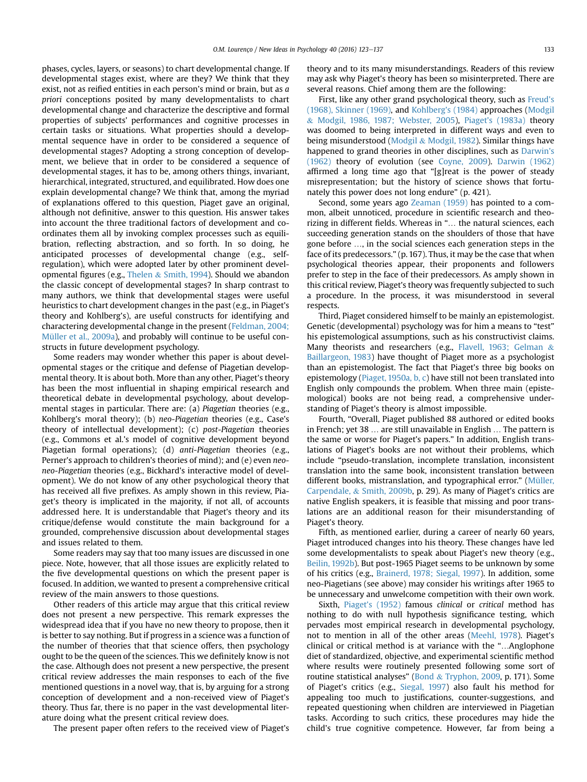phases, cycles, layers, or seasons) to chart developmental change. If developmental stages exist, where are they? We think that they exist, not as reified entities in each person's mind or brain, but as a priori conceptions posited by many developmentalists to chart developmental change and characterize the descriptive and formal properties of subjects' performances and cognitive processes in certain tasks or situations. What properties should a developmental sequence have in order to be considered a sequence of developmental stages? Adopting a strong conception of development, we believe that in order to be considered a sequence of developmental stages, it has to be, among others things, invariant, hierarchical, integrated, structured, and equilibrated. How does one explain developmental change? We think that, among the myriad of explanations offered to this question, Piaget gave an original, although not definitive, answer to this question. His answer takes into account the three traditional factors of development and coordinates them all by invoking complex processes such as equilibration, reflecting abstraction, and so forth. In so doing, he anticipated processes of developmental change (e.g., selfregulation), which were adopted later by other prominent developmental figures (e.g., [Thelen](#page-14-0) & [Smith, 1994\)](#page-14-0). Should we abandon the classic concept of developmental stages? In sharp contrast to many authors, we think that developmental stages were useful heuristics to chart development changes in the past (e.g., in Piaget's theory and Kohlberg's), are useful constructs for identifying and charactering developmental change in the present [\(Feldman, 2004;](#page-12-0) [Müller et al., 2009a\)](#page-12-0), and probably will continue to be useful constructs in future development psychology.

Some readers may wonder whether this paper is about developmental stages or the critique and defense of Piagetian developmental theory. It is about both. More than any other, Piaget's theory has been the most influential in shaping empirical research and theoretical debate in developmental psychology, about developmental stages in particular. There are: (a) Piagetian theories (e.g., Kohlberg's moral theory); (b) neo-Piagetian theories (e.g., Case's theory of intellectual development); (c) post-Piagetian theories (e.g., Commons et al.'s model of cognitive development beyond Piagetian formal operations); (d) anti-Piagetian theories (e.g., Perner's approach to children's theories of mind); and (e) even neoneo-Piagetian theories (e.g., Bickhard's interactive model of development). We do not know of any other psychological theory that has received all five prefixes. As amply shown in this review, Piaget's theory is implicated in the majority, if not all, of accounts addressed here. It is understandable that Piaget's theory and its critique/defense would constitute the main background for a grounded, comprehensive discussion about developmental stages and issues related to them.

Some readers may say that too many issues are discussed in one piece. Note, however, that all those issues are explicitly related to the five developmental questions on which the present paper is focused. In addition, we wanted to present a comprehensive critical review of the main answers to those questions.

Other readers of this article may argue that this critical review does not present a new perspective. This remark expresses the widespread idea that if you have no new theory to propose, then it is better to say nothing. But if progress in a science was a function of the number of theories that that science offers, then psychology ought to be the queen of the sciences. This we definitely know is not the case. Although does not present a new perspective, the present critical review addresses the main responses to each of the five mentioned questions in a novel way, that is, by arguing for a strong conception of development and a non-received view of Piaget's theory. Thus far, there is no paper in the vast developmental literature doing what the present critical review does.

The present paper often refers to the received view of Piaget's

theory and to its many misunderstandings. Readers of this review may ask why Piaget's theory has been so misinterpreted. There are several reasons. Chief among them are the following:

First, like any other grand psychological theory, such as [Freud's](#page-12-0) [\(1968\), Skinner \(1969\),](#page-12-0) and [Kohlberg's \(1984\)](#page-13-0) approaches ([Modgil](#page-13-0) & [Modgil, 1986, 1987; Webster, 2005\)](#page-13-0), Piaget'[s \(1983a\)](#page-13-0) theory was doomed to being interpreted in different ways and even to being misunderstood ([Modgil](#page-13-0) & [Modgil, 1982\)](#page-13-0). Similar things have happened to grand theories in other disciplines, such as [Darwin's](#page-12-0) [\(1962\)](#page-12-0) theory of evolution (see [Coyne, 2009\)](#page-12-0). [Darwin \(1962\)](#page-12-0) affirmed a long time ago that "[g]reat is the power of steady misrepresentation; but the history of science shows that fortunately this power does not long endure" (p. 421).

Second, some years ago [Zeaman \(1959\)](#page-14-0) has pointed to a common, albeit unnoticed, procedure in scientific research and theorizing in different fields. Whereas in "… the natural sciences, each succeeding generation stands on the shoulders of those that have gone before …, in the social sciences each generation steps in the face of its predecessors." (p. 167). Thus, it may be the case that when psychological theories appear, their proponents and followers prefer to step in the face of their predecessors. As amply shown in this critical review, Piaget's theory was frequently subjected to such a procedure. In the process, it was misunderstood in several respects.

Third, Piaget considered himself to be mainly an epistemologist. Genetic (developmental) psychology was for him a means to "test" his epistemological assumptions, such as his constructivist claims. Many theorists and researchers (e.g., [Flavell, 1963; Gelman](#page-12-0) & [Baillargeon, 1983\)](#page-12-0) have thought of Piaget more as a psychologist than an epistemologist. The fact that Piaget's three big books on epistemology [\(Piaget, 1950a, b, c](#page-13-0)) have still not been translated into English only compounds the problem. When three main (epistemological) books are not being read, a comprehensive understanding of Piaget's theory is almost impossible.

Fourth, "Overall, Piaget published 88 authored or edited books in French; yet 38 … are still unavailable in English … The pattern is the same or worse for Piaget's papers." In addition, English translations of Piaget's books are not without their problems, which include "pseudo-translation, incomplete translation, inconsistent translation into the same book, inconsistent translation between different books, mistranslation, and typographical error." ([Müller,](#page-13-0) [Carpendale,](#page-13-0) & [Smith, 2009b](#page-13-0), p. 29). As many of Piaget's critics are native English speakers, it is feasible that missing and poor translations are an additional reason for their misunderstanding of Piaget's theory.

Fifth, as mentioned earlier, during a career of nearly 60 years, Piaget introduced changes into his theory. These changes have led some developmentalists to speak about Piaget's new theory (e.g., [Beilin, 1992b\)](#page-11-0). But post-1965 Piaget seems to be unknown by some of his critics (e.g., [Brainerd, 1978; Siegal, 1997\)](#page-11-0). In addition, some neo-Piagetians (see above) may consider his writings after 1965 to be unnecessary and unwelcome competition with their own work.

Sixth, [Piaget's \(1952\)](#page-13-0) famous clinical or critical method has nothing to do with null hypothesis significance testing, which pervades most empirical research in developmental psychology, not to mention in all of the other areas ([Meehl, 1978](#page-13-0)). Piaget's clinical or critical method is at variance with the "…Anglophone diet of standardized, objective, and experimental scientific method where results were routinely presented following some sort of routine statistical analyses" [\(Bond](#page-11-0) & [Tryphon, 2009,](#page-11-0) p. 171). Some of Piaget's critics (e.g., [Siegal, 1997\)](#page-14-0) also fault his method for appealing too much to justifications, counter-suggestions, and repeated questioning when children are interviewed in Piagetian tasks. According to such critics, these procedures may hide the child's true cognitive competence. However, far from being a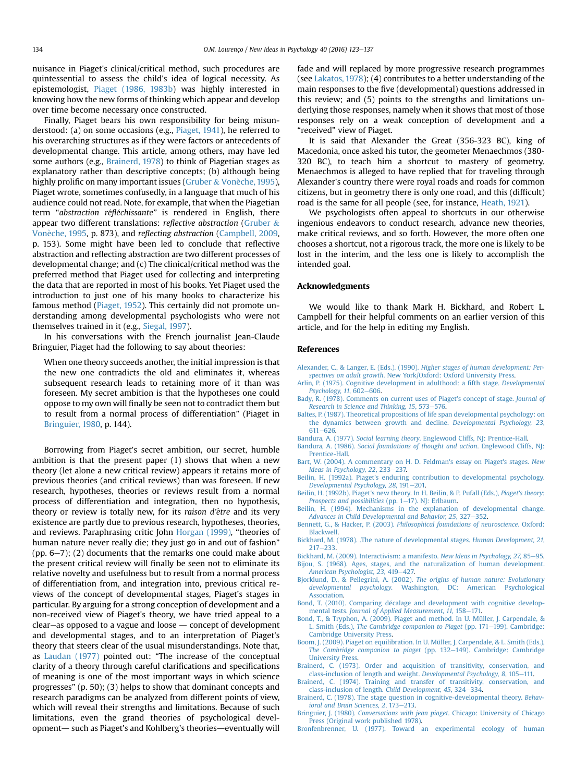<span id="page-11-0"></span>nuisance in Piaget's clinical/critical method, such procedures are quintessential to assess the child's idea of logical necessity. As epistemologist, [Piaget \(1986, 1983b](#page-13-0)) was highly interested in knowing how the new forms of thinking which appear and develop over time become necessary once constructed.

Finally, Piaget bears his own responsibility for being misun-derstood: (a) on some occasions (e.g., [Piaget, 1941\)](#page-13-0), he referred to his overarching structures as if they were factors or antecedents of developmental change. This article, among others, may have led some authors (e.g., Brainerd, 1978) to think of Piagetian stages as explanatory rather than descriptive concepts; (b) although being highly prolific on many important issues [\(Gruber](#page-12-0) & Vonèche, 1995), Piaget wrote, sometimes confusedly, in a language that much of his audience could not read. Note, for example, that when the Piagetian term "abstraction réfléchissante" is rendered in English, there appear two different translations: *reflective abstraction* ([Gruber](#page-12-0)  $\&$ Vonèche, 1995, p. 873), and reflecting abstraction ([Campbell, 2009,](#page-12-0) p. 153). Some might have been led to conclude that reflective abstraction and reflecting abstraction are two different processes of developmental change; and (c) The clinical/critical method was the preferred method that Piaget used for collecting and interpreting the data that are reported in most of his books. Yet Piaget used the introduction to just one of his many books to characterize his famous method [\(Piaget, 1952\)](#page-13-0). This certainly did not promote understanding among developmental psychologists who were not themselves trained in it (e.g., [Siegal, 1997](#page-14-0)).

In his conversations with the French journalist Jean-Claude Bringuier, Piaget had the following to say about theories:

When one theory succeeds another, the initial impression is that the new one contradicts the old and eliminates it, whereas subsequent research leads to retaining more of it than was foreseen. My secret ambition is that the hypotheses one could oppose to my own will finally be seen not to contradict them but to result from a normal process of differentiation" (Piaget in Bringuier, 1980, p. 144).

Borrowing from Piaget's secret ambition, our secret, humble ambition is that the present paper (1) shows that when a new theory (let alone a new critical review) appears it retains more of previous theories (and critical reviews) than was foreseen. If new research, hypotheses, theories or reviews result from a normal process of differentiation and integration, then no hypothesis, theory or review is totally new, for its raison d'être and its very existence are partly due to previous research, hypotheses, theories, and reviews. Paraphrasing critic John [Horgan \(1999\)](#page-12-0), "theories of human nature never really die; they just go in and out of fashion" (pp.  $6-7$ ); (2) documents that the remarks one could make about the present critical review will finally be seen not to eliminate its relative novelty and usefulness but to result from a normal process of differentiation from, and integration into, previous critical reviews of the concept of developmental stages, Piaget's stages in particular. By arguing for a strong conception of development and a non-received view of Piaget's theory, we have tried appeal to a  $clear-as$  opposed to a vague and loose  $-$  concept of development and developmental stages, and to an interpretation of Piaget's theory that steers clear of the usual misunderstandings. Note that, as [Laudan \(1977\)](#page-13-0) pointed out: "The increase of the conceptual clarity of a theory through careful clarifications and specifications of meaning is one of the most important ways in which science progresses" (p. 50); (3) helps to show that dominant concepts and research paradigms can be analyzed from different points of view, which will reveal their strengths and limitations. Because of such limitations, even the grand theories of psychological development— such as Piaget's and Kohlberg's theories—eventually will fade and will replaced by more progressive research programmes (see [Lakatos, 1978\)](#page-13-0); (4) contributes to a better understanding of the main responses to the five (developmental) questions addressed in this review; and (5) points to the strengths and limitations underlying those responses, namely when it shows that most of those responses rely on a weak conception of development and a "received" view of Piaget.

It is said that Alexander the Great (356-323 BC), king of Macedonia, once asked his tutor, the geometer Menaechmos (380- 320 BC), to teach him a shortcut to mastery of geometry. Menaechmos is alleged to have replied that for traveling through Alexander's country there were royal roads and roads for common citizens, but in geometry there is only one road, and this (difficult) road is the same for all people (see, for instance, [Heath, 1921\)](#page-12-0).

We psychologists often appeal to shortcuts in our otherwise ingenious endeavors to conduct research, advance new theories, make critical reviews, and so forth. However, the more often one chooses a shortcut, not a rigorous track, the more one is likely to be lost in the interim, and the less one is likely to accomplish the intended goal.

## Acknowledgments

We would like to thank Mark H. Bickhard, and Robert L. Campbell for their helpful comments on an earlier version of this article, and for the help in editing my English.

## References

- Alexander, C., & Langer, E. (Eds.). (1990). [Higher stages of human development: Per](http://refhub.elsevier.com/S0732-118X(15)00048-3/sref1)spectives on adult growth[. New York/Oxford: Oxford University Press.](http://refhub.elsevier.com/S0732-118X(15)00048-3/sref1)
- [Arlin, P. \(1975\). Cognitive development in adulthood: a](http://refhub.elsevier.com/S0732-118X(15)00048-3/sref2) fifth stage. Developmental [Psychology, 11](http://refhub.elsevier.com/S0732-118X(15)00048-3/sref2), 602-[606](http://refhub.elsevier.com/S0732-118X(15)00048-3/sref2).
- [Bady, R. \(1978\). Comments on current uses of Piaget's concept of stage.](http://refhub.elsevier.com/S0732-118X(15)00048-3/sref3) Journal of [Research in Science and Thinking, 15](http://refhub.elsevier.com/S0732-118X(15)00048-3/sref3), 573-[576.](http://refhub.elsevier.com/S0732-118X(15)00048-3/sref3)
- [Baltes, P. \(1987\). Theoretical propositions of life span developmental psychology: on](http://refhub.elsevier.com/S0732-118X(15)00048-3/sref4) [the dynamics between growth and decline.](http://refhub.elsevier.com/S0732-118X(15)00048-3/sref4) Developmental Psychology, 23,  $611 - 626$  $611 - 626$  $611 - 626$
- Bandura, A. (1977). Social learning theory[. Englewood Cliffs, NJ: Prentice-Hall.](http://refhub.elsevier.com/S0732-118X(15)00048-3/sref5)
- Bandura, A. (1986). [Social foundations of thought and action](http://refhub.elsevier.com/S0732-118X(15)00048-3/sref6). Englewood Cliffs, NJ: [Prentice-Hall](http://refhub.elsevier.com/S0732-118X(15)00048-3/sref6).
- [Bart, W. \(2004\). A commentary on H. D. Feldman's essay on Piaget's stages.](http://refhub.elsevier.com/S0732-118X(15)00048-3/sref7) New Ideas in Psychology,  $22$ ,  $233-237$ .
- [Beilin, H. \(1992a\). Piaget's enduring contribution to developmental psychology.](http://refhub.elsevier.com/S0732-118X(15)00048-3/sref8) [Developmental Psychology, 28](http://refhub.elsevier.com/S0732-118X(15)00048-3/sref8), 191-[201.](http://refhub.elsevier.com/S0732-118X(15)00048-3/sref8)
- [Beilin, H. \(1992b\). Piaget's new theory. In H. Beilin, & P. Pufall \(Eds.\),](http://refhub.elsevier.com/S0732-118X(15)00048-3/sref9) Piaget's theory: [Prospects and possibilities](http://refhub.elsevier.com/S0732-118X(15)00048-3/sref9) (pp.  $1-17$ ). NJ: Erlbaum.
- [Beilin, H. \(1994\). Mechanisms in the explanation of developmental change.](http://refhub.elsevier.com/S0732-118X(15)00048-3/sref10) [Advances in Child Developmental and Behavior, 25](http://refhub.elsevier.com/S0732-118X(15)00048-3/sref10), 327-[352](http://refhub.elsevier.com/S0732-118X(15)00048-3/sref10).
- Bennett, G., & Hacker, P. (2003). [Philosophical foundations of neuroscience](http://refhub.elsevier.com/S0732-118X(15)00048-3/sref11). Oxford: [Blackwell.](http://refhub.elsevier.com/S0732-118X(15)00048-3/sref11)
- [Bickhard, M. \(1978\). .The nature of developmental stages.](http://refhub.elsevier.com/S0732-118X(15)00048-3/sref12) Human Development, 21,  $217 - 233$  $217 - 233$  $217 - 233$ .
- [Bickhard, M. \(2009\). Interactivism: a manifesto.](http://refhub.elsevier.com/S0732-118X(15)00048-3/sref13) New Ideas in Psychology, 27, 85–[95](http://refhub.elsevier.com/S0732-118X(15)00048-3/sref13). [Bijou, S. \(1968\). Ages, stages, and the naturalization of human development.](http://refhub.elsevier.com/S0732-118X(15)00048-3/sref14)<br>[American Psychologist, 23](http://refhub.elsevier.com/S0732-118X(15)00048-3/sref14), 419–[427.](http://refhub.elsevier.com/S0732-118X(15)00048-3/sref14)
- Bjorklund, D., & Pellegrini, A. (2002). [The origins of human nature: Evolutionary](http://refhub.elsevier.com/S0732-118X(15)00048-3/sref15) developmental psychology[. Washington, DC: American Psychological](http://refhub.elsevier.com/S0732-118X(15)00048-3/sref15) [Association](http://refhub.elsevier.com/S0732-118X(15)00048-3/sref15).
- Bond, T. (2010). Comparing décalage and development with cognitive develop-mental tests. [Journal of Applied Measurement, 11](http://refhub.elsevier.com/S0732-118X(15)00048-3/sref16), 158-[171.](http://refhub.elsevier.com/S0732-118X(15)00048-3/sref16)
- [Bond, T., & Tryphon, A. \(2009\). Piaget and method. In U. Müller, J. Carpendale, &](http://refhub.elsevier.com/S0732-118X(15)00048-3/sref212) L. Smith (Eds.), [The Cambridge companion to Piaget](http://refhub.elsevier.com/S0732-118X(15)00048-3/sref212) (pp. 171-[199\). Cambridge:](http://refhub.elsevier.com/S0732-118X(15)00048-3/sref212) [Cambridge University Press](http://refhub.elsevier.com/S0732-118X(15)00048-3/sref212).
- [Boom, J. \(2009\). Piaget on equilibration. In U. Müller, J. Carpendale, & L. Smith \(Eds.\),](http://refhub.elsevier.com/S0732-118X(15)00048-3/sref17) [The Cambridge companion to piaget](http://refhub.elsevier.com/S0732-118X(15)00048-3/sref17) (pp. 132-[149\). Cambridge: Cambridge](http://refhub.elsevier.com/S0732-118X(15)00048-3/sref17) [University Press](http://refhub.elsevier.com/S0732-118X(15)00048-3/sref17).
- [Brainerd, C. \(1973\). Order and acquisition of transitivity, conservation, and](http://refhub.elsevier.com/S0732-118X(15)00048-3/sref18) [class-inclusion of length and weight.](http://refhub.elsevier.com/S0732-118X(15)00048-3/sref18) Developmental Psychology, 8, 105-[111.](http://refhub.elsevier.com/S0732-118X(15)00048-3/sref18)
- [Brainerd, C. \(1974\). Training and transfer of transitivity, conservation, and](http://refhub.elsevier.com/S0732-118X(15)00048-3/sref19) [class-inclusion of length.](http://refhub.elsevier.com/S0732-118X(15)00048-3/sref19) Child Development, 45, 324-[334.](http://refhub.elsevier.com/S0732-118X(15)00048-3/sref19)
- [Brainerd, C. \(1978\). The stage question in cognitive-developmental theory.](http://refhub.elsevier.com/S0732-118X(15)00048-3/sref20) Behav[ioral and Brain Sciences, 2](http://refhub.elsevier.com/S0732-118X(15)00048-3/sref20), 173-[213.](http://refhub.elsevier.com/S0732-118X(15)00048-3/sref20)
- Bringuier, J. (1980). Conversations with jean piaget[. Chicago: University of Chicago](http://refhub.elsevier.com/S0732-118X(15)00048-3/sref21) [Press \(Original work published 1978\)](http://refhub.elsevier.com/S0732-118X(15)00048-3/sref21).
- [Bronfenbrenner, U. \(1977\). Toward an experimental ecology of human](http://refhub.elsevier.com/S0732-118X(15)00048-3/sref22)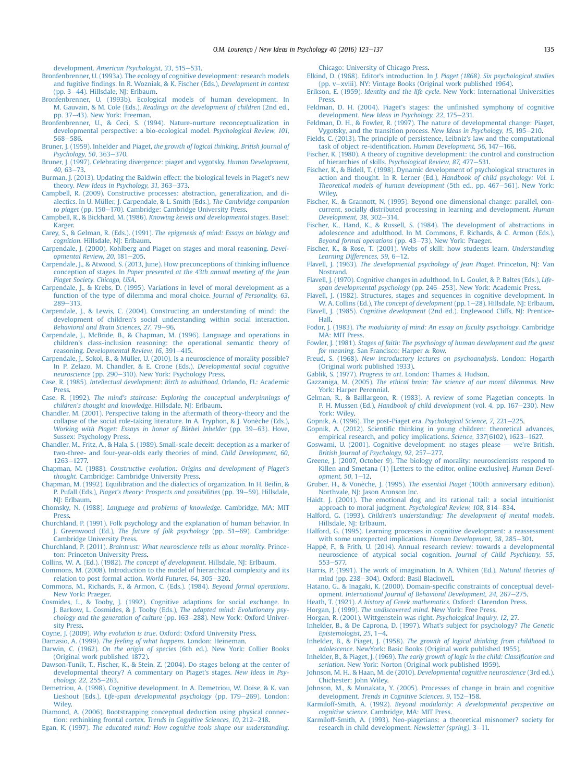<span id="page-12-0"></span>development. [American Psychologist, 33](http://refhub.elsevier.com/S0732-118X(15)00048-3/sref22), 515-[531.](http://refhub.elsevier.com/S0732-118X(15)00048-3/sref22)

- [Bronfenbrenner, U. \(1993a\). The ecology of cognitive development: research models](http://refhub.elsevier.com/S0732-118X(15)00048-3/sref23) and fugitive fi[ndings. In R. Wozniak, & K. Fischer \(Eds.\),](http://refhub.elsevier.com/S0732-118X(15)00048-3/sref23) Development in context (pp.  $3-44$ ). Hillsdale, NJ: Erlbaum.
- [Bronfenbrenner, U. \(1993b\). Ecological models of human development. In](http://refhub.elsevier.com/S0732-118X(15)00048-3/sref24) M. Gauvain, & M. Cole (Eds.), [Readings on the development of children](http://refhub.elsevier.com/S0732-118X(15)00048-3/sref24) (2nd ed., [pp. 37](http://refhub.elsevier.com/S0732-118X(15)00048-3/sref24)-[43\). New York: Freeman.](http://refhub.elsevier.com/S0732-118X(15)00048-3/sref24)
- [Bronfenbrenner, U., & Ceci, S. \(1994\). Nature-nurture reconceptualization in](http://refhub.elsevier.com/S0732-118X(15)00048-3/sref25) [developmental perspective: a bio-ecological model.](http://refhub.elsevier.com/S0732-118X(15)00048-3/sref25) Psychological Review, 101,  $568 - 586$  $568 - 586$  $568 - 586$
- [Bruner, J. \(1959\). Inhelder and Piaget,](http://refhub.elsevier.com/S0732-118X(15)00048-3/sref26) the growth of logical thinking. British Journal of  $Psychology, 50, 363-370.$  $Psychology, 50, 363-370.$  $Psychology, 50, 363-370.$  $Psychology, 50, 363-370.$
- [Bruner, J. \(1997\). Celebrating divergence: piaget and vygotsky.](http://refhub.elsevier.com/S0732-118X(15)00048-3/sref27) Human Development,  $40, 63 - 73$  $40, 63 - 73$  $40, 63 - 73$  $40, 63 - 73$
- [Burman, J. \(2013\). Updating the Baldwin effect: the biological levels in Piaget's new](http://refhub.elsevier.com/S0732-118X(15)00048-3/sref28) theory. [New Ideas in Psychology, 31](http://refhub.elsevier.com/S0732-118X(15)00048-3/sref28), 363-[373.](http://refhub.elsevier.com/S0732-118X(15)00048-3/sref28)
- [Campbell, R. \(2009\). Constructive processes: abstraction, generalization, and di](http://refhub.elsevier.com/S0732-118X(15)00048-3/sref29)[alectics. In U. Müller, J. Carpendale, & L. Smith \(Eds.\),](http://refhub.elsevier.com/S0732-118X(15)00048-3/sref29) The Cambridge companion [to piaget](http://refhub.elsevier.com/S0732-118X(15)00048-3/sref29) (pp. 150-[170\). Cambridge: Cambridge University Press.](http://refhub.elsevier.com/S0732-118X(15)00048-3/sref29)
- Campbell, R., & Bickhard, M. (1986). [Knowing kevels and developmental stages](http://refhub.elsevier.com/S0732-118X(15)00048-3/sref30). Basel: [Karger](http://refhub.elsevier.com/S0732-118X(15)00048-3/sref30).
- Carey, S., & Gelman, R. (Eds.). (1991). [The epigenesis of mind: Essays on biology and](http://refhub.elsevier.com/S0732-118X(15)00048-3/sref31) cognition[. Hillsdale, NJ: Erlbaum.](http://refhub.elsevier.com/S0732-118X(15)00048-3/sref31)
- [Carpendale, J. \(2000\). Kohlberg and Piaget on stages and moral reasoning.](http://refhub.elsevier.com/S0732-118X(15)00048-3/sref32) Devel[opmental Review, 20](http://refhub.elsevier.com/S0732-118X(15)00048-3/sref32), 181-[205.](http://refhub.elsevier.com/S0732-118X(15)00048-3/sref32)
- [Carpendale, J., & Atwood, S. \(2013, June\). How preconceptions of thinking in](http://refhub.elsevier.com/S0732-118X(15)00048-3/sref33)fluence conception of stages. In [Paper presented at the 43th annual meeting of the Jean](http://refhub.elsevier.com/S0732-118X(15)00048-3/sref33) [Piaget Society. Chicago, USA](http://refhub.elsevier.com/S0732-118X(15)00048-3/sref33).
- [Carpendale, J., & Krebs, D. \(1995\). Variations in level of moral development as a](http://refhub.elsevier.com/S0732-118X(15)00048-3/sref34) [function of the type of dilemma and moral choice.](http://refhub.elsevier.com/S0732-118X(15)00048-3/sref34) Journal of Personality, 63, [289](http://refhub.elsevier.com/S0732-118X(15)00048-3/sref34)-313
- [Carpendale, J., & Lewis, C. \(2004\). Constructing an understanding of mind: the](http://refhub.elsevier.com/S0732-118X(15)00048-3/sref35) [development of children's social understanding within social interaction.](http://refhub.elsevier.com/S0732-118X(15)00048-3/sref35) [Behavioral and Brain Sciences, 27](http://refhub.elsevier.com/S0732-118X(15)00048-3/sref35), 79-[96](http://refhub.elsevier.com/S0732-118X(15)00048-3/sref35).
- [Carpendale, J., McBride, B., & Chapman, M. \(1996\). Language and operations in](http://refhub.elsevier.com/S0732-118X(15)00048-3/sref36) [children's class-inclusion reasoning: the operational semantic theory of](http://refhub.elsevier.com/S0732-118X(15)00048-3/sref36) reasoning. [Developmental Review, 16](http://refhub.elsevier.com/S0732-118X(15)00048-3/sref36), 391-[415](http://refhub.elsevier.com/S0732-118X(15)00048-3/sref36).
- [Carpendale, J., Sokol, B., & Müller, U. \(2010\). Is a neuroscience of morality possible?](http://refhub.elsevier.com/S0732-118X(15)00048-3/sref37) [In P. Zelazo, M. Chandler, & E. Crone \(Eds.\),](http://refhub.elsevier.com/S0732-118X(15)00048-3/sref37) Developmental social cognitive [neuroscience](http://refhub.elsevier.com/S0732-118X(15)00048-3/sref37) (pp. 290-[310\). New York: Psychology Press](http://refhub.elsevier.com/S0732-118X(15)00048-3/sref37).
- Case, R. (1985). [Intellectual development: Birth to adulthood](http://refhub.elsevier.com/S0732-118X(15)00048-3/sref38). Orlando, FL: Academic [Press](http://refhub.elsevier.com/S0732-118X(15)00048-3/sref38).
- Case, R. (1992). [The mind's staircase: Exploring the conceptual underpinnings of](http://refhub.elsevier.com/S0732-118X(15)00048-3/sref39) [children's thought and knowledge](http://refhub.elsevier.com/S0732-118X(15)00048-3/sref39). Hillsdale, NJ: Erlbaum.
- [Chandler, M. \(2001\). Perspective taking in the aftermath of theory-theory and the](http://refhub.elsevier.com/S0732-118X(15)00048-3/sref40) [collapse of the social role-taking literature. In A. Tryphon, & J. Voneche \(Eds.\),](http://refhub.elsevier.com/S0732-118X(15)00048-3/sref40) Working with Piaget: Essays in honor of Bärbel Inhelder (pp. 39-[63\). Hove,](http://refhub.elsevier.com/S0732-118X(15)00048-3/sref40) [Sussex: Psychology Press.](http://refhub.elsevier.com/S0732-118X(15)00048-3/sref40)
- [Chandler, M., Fritz, A., & Hala, S. \(1989\). Small-scale deceit: deception as a marker of](http://refhub.elsevier.com/S0732-118X(15)00048-3/sref41) [two-three- and four-year-olds early theories of mind.](http://refhub.elsevier.com/S0732-118X(15)00048-3/sref41) Child Development, 60, [1263](http://refhub.elsevier.com/S0732-118X(15)00048-3/sref41)-[1277.](http://refhub.elsevier.com/S0732-118X(15)00048-3/sref41)
- Chapman, M. (1988). [Constructive evolution: Origins and development of Piaget's](http://refhub.elsevier.com/S0732-118X(15)00048-3/sref42) thought[. Cambridge: Cambridge University Press.](http://refhub.elsevier.com/S0732-118X(15)00048-3/sref42)
- [Chapman, M. \(1992\). Equilibration and the dialectics of organization. In H. Beilin, &](http://refhub.elsevier.com/S0732-118X(15)00048-3/sref43) P. Pufall (Eds.), [Piaget's theory: Prospects and possibilities](http://refhub.elsevier.com/S0732-118X(15)00048-3/sref43) (pp. 39-[59\). Hillsdale,](http://refhub.elsevier.com/S0732-118X(15)00048-3/sref43) [NJ: Erlbaum](http://refhub.elsevier.com/S0732-118X(15)00048-3/sref43).
- Chomsky, N. (1988). [Language and problems of knowledge](http://refhub.elsevier.com/S0732-118X(15)00048-3/sref44). Cambridge, MA: MIT [Press](http://refhub.elsevier.com/S0732-118X(15)00048-3/sref44).
- [Churchland, P. \(1991\). Folk psychology and the explanation of human behavior. In](http://refhub.elsevier.com/S0732-118X(15)00048-3/sref45) J. Greenwood (Ed.), [The future of folk psychology](http://refhub.elsevier.com/S0732-118X(15)00048-3/sref45) (pp. 51-[69\). Cambridge:](http://refhub.elsevier.com/S0732-118X(15)00048-3/sref45) [Cambridge University Press](http://refhub.elsevier.com/S0732-118X(15)00048-3/sref45).
- Churchland, P. (2011). [Braintrust: What neuroscience tells us about morality](http://refhub.elsevier.com/S0732-118X(15)00048-3/sref46). Prince[ton: Princeton University Press.](http://refhub.elsevier.com/S0732-118X(15)00048-3/sref46)
- Collins, W. A. (Ed.). (1982). [The concept of development](http://refhub.elsevier.com/S0732-118X(15)00048-3/sref47). Hillsdale, NJ: Erlbaum.
- [Commons, M. \(2008\). Introduction to the model of hierarchical complexity and its](http://refhub.elsevier.com/S0732-118X(15)00048-3/sref48) [relation to post formal action.](http://refhub.elsevier.com/S0732-118X(15)00048-3/sref48) World Futures, 64, 305-[320](http://refhub.elsevier.com/S0732-118X(15)00048-3/sref48).
- [Commons, M., Richards, F., & Armon, C. \(Eds.\). \(1984\).](http://refhub.elsevier.com/S0732-118X(15)00048-3/sref49) Beyond formal operations. [New York: Praeger.](http://refhub.elsevier.com/S0732-118X(15)00048-3/sref49)
- [Cosmides, L., & Tooby, J. \(1992\). Cognitive adaptions for social exchange. In](http://refhub.elsevier.com/S0732-118X(15)00048-3/sref50) [J. Barkow, L. Cosmides, & J. Tooby \(Eds.\),](http://refhub.elsevier.com/S0732-118X(15)00048-3/sref50) The adapted mind: Evolutionary psy[chology and the generation of culture](http://refhub.elsevier.com/S0732-118X(15)00048-3/sref50) (pp. 163-[288\). New York: Oxford Univer](http://refhub.elsevier.com/S0732-118X(15)00048-3/sref50)[sity Press](http://refhub.elsevier.com/S0732-118X(15)00048-3/sref50).
- Coyne, J. (2009). Why evolution is true[. Oxford: Oxford University Press.](http://refhub.elsevier.com/S0732-118X(15)00048-3/sref51)
- Damasio, A. (1999). [The feeling of what happens](http://refhub.elsevier.com/S0732-118X(15)00048-3/sref52). London: Heineman.
- Darwin, C. (1962). On the origin of species [\(6th ed.\). New York: Collier Books](http://refhub.elsevier.com/S0732-118X(15)00048-3/sref53) [\(Original work published 1872\)](http://refhub.elsevier.com/S0732-118X(15)00048-3/sref53).
- [Dawson-Tunik, T., Fischer, K., & Stein, Z. \(2004\). Do stages belong at the center of](http://refhub.elsevier.com/S0732-118X(15)00048-3/sref54) [developmental theory? A commentary on Piaget's stages.](http://refhub.elsevier.com/S0732-118X(15)00048-3/sref54) New Ideas in Psy $chology, 22, 255 - 263.$  $chology, 22, 255 - 263.$  $chology, 22, 255 - 263.$
- [Demetriou, A. \(1998\). Cognitive development. In A. Demetriou, W. Doise, & K. van](http://refhub.elsevier.com/S0732-118X(15)00048-3/sref55) Lieshout (Eds.), [Life-span developmental psychology](http://refhub.elsevier.com/S0732-118X(15)00048-3/sref55) (pp. 179-[269\). London:](http://refhub.elsevier.com/S0732-118X(15)00048-3/sref55) **[Wiley.](http://refhub.elsevier.com/S0732-118X(15)00048-3/sref55)**
- [Diamond, A. \(2006\). Bootstrapping conceptual deduction using physical connec](http://refhub.elsevier.com/S0732-118X(15)00048-3/sref56)[tion: rethinking frontal cortex.](http://refhub.elsevier.com/S0732-118X(15)00048-3/sref56) Trends in Cognitive Sciences,  $10$ ,  $212-218$  $212-218$ .
- Egan, K. (1997). [The educated mind: How cognitive tools shape our understanding](http://refhub.elsevier.com/S0732-118X(15)00048-3/sref57).

[Chicago: University of Chicago Press](http://refhub.elsevier.com/S0732-118X(15)00048-3/sref57).

- [Elkind, D. \(1968\). Editor's introduction. In](http://refhub.elsevier.com/S0732-118X(15)00048-3/sref58) J. Piaget (1868). Six psychological studies  $(pp. v–xviii)$  $(pp. v–xviii)$ . NY: Vintage Books (Original work published 1964).
- Erikson, E. (1959). Identity and the life cycle[. New York: International Universities](http://refhub.elsevier.com/S0732-118X(15)00048-3/sref59) [Press](http://refhub.elsevier.com/S0732-118X(15)00048-3/sref59).
- [Feldman, D. H. \(2004\). Piaget's stages: the un](http://refhub.elsevier.com/S0732-118X(15)00048-3/sref60)finished symphony of cognitive development. [New Ideas in Psychology, 22](http://refhub.elsevier.com/S0732-118X(15)00048-3/sref60), 175-[231.](http://refhub.elsevier.com/S0732-118X(15)00048-3/sref60)
- [Feldman, D. H., & Fowler, R. \(1997\). The nature of developmental change: Piaget,](http://refhub.elsevier.com/S0732-118X(15)00048-3/sref61) [Vygotsky, and the transition process.](http://refhub.elsevier.com/S0732-118X(15)00048-3/sref61) New Ideas in Psychology, 15, 195–[210.](http://refhub.elsevier.com/S0732-118X(15)00048-3/sref61)
- [Fields, C. \(2013\). The principle of persistence, Leibniz's law and the computational](http://refhub.elsevier.com/S0732-118X(15)00048-3/sref62) task of object re-identification. [Human Development, 56](http://refhub.elsevier.com/S0732-118X(15)00048-3/sref62), 147-[166](http://refhub.elsevier.com/S0732-118X(15)00048-3/sref62).
- [Fischer, K. \(1980\). A theory of cognitive development: the control and construction](http://refhub.elsevier.com/S0732-118X(15)00048-3/sref63) of hierarchies of skills. [Psychological Review, 87](http://refhub.elsevier.com/S0732-118X(15)00048-3/sref63), 477-[531.](http://refhub.elsevier.com/S0732-118X(15)00048-3/sref63)
- [Fischer, K., & Bidell, T. \(1998\). Dynamic development of psychological structures in](http://refhub.elsevier.com/S0732-118X(15)00048-3/sref64) [action and thought. In R. Lerner \(Ed.\),](http://refhub.elsevier.com/S0732-118X(15)00048-3/sref64) Handbook of child psychology: Vol. 1. [Theoretical models of human development](http://refhub.elsevier.com/S0732-118X(15)00048-3/sref64) (5th ed., pp. 467-[561\). New York:](http://refhub.elsevier.com/S0732-118X(15)00048-3/sref64) **Wiley**
- [Fischer, K., & Grannott, N. \(1995\). Beyond one dimensional change: parallel, con](http://refhub.elsevier.com/S0732-118X(15)00048-3/sref65)[current, socially distributed processing in learning and development.](http://refhub.elsevier.com/S0732-118X(15)00048-3/sref65) Human [Development, 38](http://refhub.elsevier.com/S0732-118X(15)00048-3/sref65), 302-[314](http://refhub.elsevier.com/S0732-118X(15)00048-3/sref65).
- [Fischer, K., Hand, K., & Russell, S. \(1984\). The development of abstractions in](http://refhub.elsevier.com/S0732-118X(15)00048-3/sref66) [adolescence and adulthood. In M. Commons, F. Richards, & C. Armon \(Eds.\),](http://refhub.elsevier.com/S0732-118X(15)00048-3/sref66) [Beyond formal operations](http://refhub.elsevier.com/S0732-118X(15)00048-3/sref66) (pp. 43-[73\). New York: Praeger.](http://refhub.elsevier.com/S0732-118X(15)00048-3/sref66)
- [Fischer, K., & Rose, T. \(2001\). Webs of skill: how students learn.](http://refhub.elsevier.com/S0732-118X(15)00048-3/sref67) Understanding [Learning Differences, 59](http://refhub.elsevier.com/S0732-118X(15)00048-3/sref67), 6-[12](http://refhub.elsevier.com/S0732-118X(15)00048-3/sref67).
- Flavell, J. (1963). [The developmental psychology of Jean Piaget](http://refhub.elsevier.com/S0732-118X(15)00048-3/sref68). Princeton, NJ: Van [Nostrand](http://refhub.elsevier.com/S0732-118X(15)00048-3/sref68).
- [Flavell, J. \(1970\). Cognitive changes in adulthood. In L. Goulet, & P. Baltes \(Eds.\),](http://refhub.elsevier.com/S0732-118X(15)00048-3/sref69) Life[span developmental psychology](http://refhub.elsevier.com/S0732-118X(15)00048-3/sref69) (pp. 246-[253\). New York: Academic Press](http://refhub.elsevier.com/S0732-118X(15)00048-3/sref69).
- [Flavell, J. \(1982\). Structures, stages and sequences in cognitive development. In](http://refhub.elsevier.com/S0732-118X(15)00048-3/sref70) W. A. Collins (Ed.), [The concept of development](http://refhub.elsevier.com/S0732-118X(15)00048-3/sref70) (pp. 1–[28\). Hillsdale, NJ: Erlbaum](http://refhub.elsevier.com/S0732-118X(15)00048-3/sref70).
- Flavell, J. (1985). Cognitive development [\(2nd ed.\). Englewood Cliffs, NJ: Prentice-](http://refhub.elsevier.com/S0732-118X(15)00048-3/sref71)[Hall.](http://refhub.elsevier.com/S0732-118X(15)00048-3/sref71)
- Fodor, J. (1983). [The modularity of mind: An essay on faculty psychology](http://refhub.elsevier.com/S0732-118X(15)00048-3/sref72). Cambridge [MA: MIT Press](http://refhub.elsevier.com/S0732-118X(15)00048-3/sref72).
- Fowler, J. (1981). [Stages of faith: The psychology of human development and the quest](http://refhub.elsevier.com/S0732-118X(15)00048-3/sref73) for meaning[. San Francisco: Harper](http://refhub.elsevier.com/S0732-118X(15)00048-3/sref73) & [Row.](http://refhub.elsevier.com/S0732-118X(15)00048-3/sref73)
- Freud, S. (1968). [New introductory lectures on psychoanalysis](http://refhub.elsevier.com/S0732-118X(15)00048-3/sref74). London: Hogarth [\(Original work published 1933\)](http://refhub.elsevier.com/S0732-118X(15)00048-3/sref74).
- Gablik, S. (1977). Progress in art[. London: Thames](http://refhub.elsevier.com/S0732-118X(15)00048-3/sref75) & [Hudson.](http://refhub.elsevier.com/S0732-118X(15)00048-3/sref75)
- Gazzaniga, M. (2005). [The ethical brain: The science of our moral dilemmas](http://refhub.elsevier.com/S0732-118X(15)00048-3/sref76). New [York: Harper Perennial](http://refhub.elsevier.com/S0732-118X(15)00048-3/sref76).
- [Gelman, R., & Baillargeon, R. \(1983\). A review of some Piagetian concepts. In](http://refhub.elsevier.com/S0732-118X(15)00048-3/sref77) P. H. Mussen (Ed.), [Handbook of child development](http://refhub.elsevier.com/S0732-118X(15)00048-3/sref77) (vol. 4, pp. 167-[230\). New](http://refhub.elsevier.com/S0732-118X(15)00048-3/sref77) [York: Wiley](http://refhub.elsevier.com/S0732-118X(15)00048-3/sref77).
- [Gopnik, A. \(1996\). The post-Piaget era.](http://refhub.elsevier.com/S0732-118X(15)00048-3/sref78) Psychological Science, 7, 221-[225](http://refhub.elsevier.com/S0732-118X(15)00048-3/sref78)
- Gopnik, A. (2012). Scientifi[c thinking in young children: theoretical advances,](http://refhub.elsevier.com/S0732-118X(15)00048-3/sref79)
- [empirical research, and policy implications.](http://refhub.elsevier.com/S0732-118X(15)00048-3/sref79) Science, 337(6102), 1623-[1627.](http://refhub.elsevier.com/S0732-118X(15)00048-3/sref79) [Goswami, U. \(2001\). Cognitive development: no stages please](http://refhub.elsevier.com/S0732-118X(15)00048-3/sref80)  $-$  we'[re British.](http://refhub.elsevier.com/S0732-118X(15)00048-3/sref80)
- [British Journal of Psychology, 92](http://refhub.elsevier.com/S0732-118X(15)00048-3/sref80), 257-[277.](http://refhub.elsevier.com/S0732-118X(15)00048-3/sref80) [Greene, J. \(2007, October 9\). The biology of morality: neuroscientists respond to](http://refhub.elsevier.com/S0732-118X(15)00048-3/sref81) [Killen and Smetana \(1\) \[Letters to the editor, online exclusive\].](http://refhub.elsevier.com/S0732-118X(15)00048-3/sref81) Human Devel-
- [opment, 50](http://refhub.elsevier.com/S0732-118X(15)00048-3/sref81),  $1-12$  $1-12$ . Gruber, H., & Vonèche, J. (1995). The essential Piaget [\(100th anniversary edition\).](http://refhub.elsevier.com/S0732-118X(15)00048-3/sref82)
- [Northvale, NJ: Jason Aronson Inc](http://refhub.elsevier.com/S0732-118X(15)00048-3/sref82). [Haidt, J. \(2001\). The emotional dog and its rational tail: a social intuitionist](http://refhub.elsevier.com/S0732-118X(15)00048-3/sref83)
- [approach to moral judgment.](http://refhub.elsevier.com/S0732-118X(15)00048-3/sref83) Psychological Review, 108, 814-[834](http://refhub.elsevier.com/S0732-118X(15)00048-3/sref83). Halford, G. (1993). [Children's understanding: The development of mental models](http://refhub.elsevier.com/S0732-118X(15)00048-3/sref84). [Hillsdale, NJ: Erlbaum](http://refhub.elsevier.com/S0732-118X(15)00048-3/sref84).
- [Halford, G. \(1995\). Learning processes in cognitive development: a reassessment](http://refhub.elsevier.com/S0732-118X(15)00048-3/sref85) [with some unexpected implications.](http://refhub.elsevier.com/S0732-118X(15)00048-3/sref85) Human Development, 38, 285-[301.](http://refhub.elsevier.com/S0732-118X(15)00048-3/sref85)
- Happé, F., & Frith, U. (2014). Annual research review: towards a developmental [neuroscience of atypical social cognition.](http://refhub.elsevier.com/S0732-118X(15)00048-3/sref86) Journal of Child Psychiatry, 55, [553](http://refhub.elsevier.com/S0732-118X(15)00048-3/sref86)-[577.](http://refhub.elsevier.com/S0732-118X(15)00048-3/sref86)
- [Harris, P. \(1991\). The work of imagination. In A. Whiten \(Ed.\),](http://refhub.elsevier.com/S0732-118X(15)00048-3/sref87) Natural theories of mind [\(pp. 238](http://refhub.elsevier.com/S0732-118X(15)00048-3/sref87)-[304\). Oxford: Basil Blackwell](http://refhub.elsevier.com/S0732-118X(15)00048-3/sref87).
- [Hatano, G., & Inagaki, K. \(2000\). Domain-speci](http://refhub.elsevier.com/S0732-118X(15)00048-3/sref88)fic constraints of conceptual devel-opment. [International Journal of Behavioral Development, 24](http://refhub.elsevier.com/S0732-118X(15)00048-3/sref88), 267-[275.](http://refhub.elsevier.com/S0732-118X(15)00048-3/sref88)
- Heath, T. (1921). [A history of Greek mathematics](http://refhub.elsevier.com/S0732-118X(15)00048-3/sref89). Oxford: Clarendon Press.
- Horgan, J. (1999). The undiscovered mind[. New York: Free Press.](http://refhub.elsevier.com/S0732-118X(15)00048-3/sref90)
- [Horgan, R. \(2001\). Wittgenstein was right.](http://refhub.elsevier.com/S0732-118X(15)00048-3/sref91) Psychological Inquiry, 12, 27.
- [Inhelder, B., & De Caprona, D. \(1997\). What's subject for psychology?](http://refhub.elsevier.com/S0732-118X(15)00048-3/sref92) The Genetic [Epistemologist, 25](http://refhub.elsevier.com/S0732-118X(15)00048-3/sref92), 1-[4.](http://refhub.elsevier.com/S0732-118X(15)00048-3/sref92)
- Inhelder, B., & Piaget, J. (1958). [The growth of logical thinking from childhood to](http://refhub.elsevier.com/S0732-118X(15)00048-3/sref93) adolescence[. NewYork: Basic Books \(Original work published 1955\)](http://refhub.elsevier.com/S0732-118X(15)00048-3/sref93).
- Inhelder, B., & Piaget, J. (1969). [The early growth of logic in the child: Classi](http://refhub.elsevier.com/S0732-118X(15)00048-3/sref94)fication and seriation[. New York: Norton \(Original work published 1959\).](http://refhub.elsevier.com/S0732-118X(15)00048-3/sref94)
- Johnson, M. H., & Haan, M. de (2010). [Developmental cognitive neuroscience](http://refhub.elsevier.com/S0732-118X(15)00048-3/sref95) (3rd ed.). [Chichester: John Wiley](http://refhub.elsevier.com/S0732-118X(15)00048-3/sref95).
- [Johnson, M., & Munakata, Y. \(2005\). Processes of change in brain and cognitive](http://refhub.elsevier.com/S0732-118X(15)00048-3/sref96) development. [Trends in Cognitive Sciences, 9](http://refhub.elsevier.com/S0732-118X(15)00048-3/sref96), 152-[158.](http://refhub.elsevier.com/S0732-118X(15)00048-3/sref96)
- Karmiloff-Smith, A. (1992). [Beyond modularity: A developmental perspective on](http://refhub.elsevier.com/S0732-118X(15)00048-3/sref97) cognitive science[. Cambridge, MA: MIT Press](http://refhub.elsevier.com/S0732-118X(15)00048-3/sref97).
- [Karmiloff-Smith, A. \(1993\). Neo-piagetians: a theoretical misnomer? society for](http://refhub.elsevier.com/S0732-118X(15)00048-3/sref98) [research in child development.](http://refhub.elsevier.com/S0732-118X(15)00048-3/sref98) Newsletter (spring), 3-[11.](http://refhub.elsevier.com/S0732-118X(15)00048-3/sref98)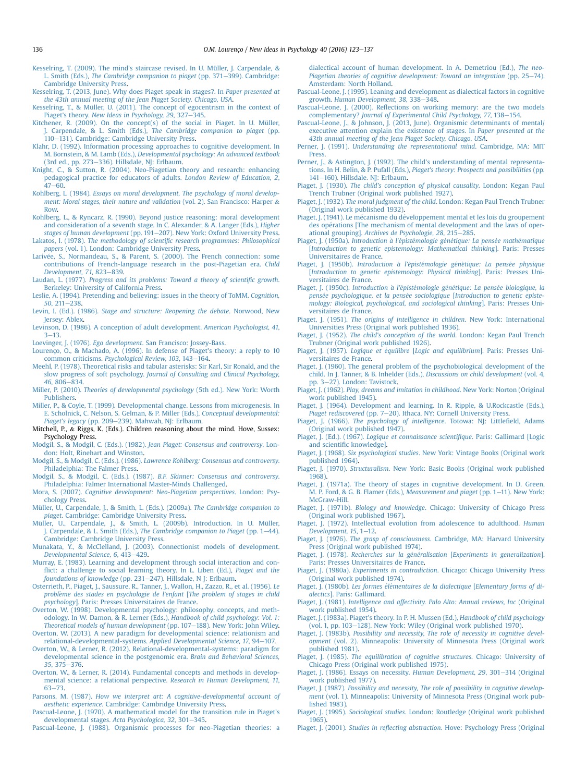- <span id="page-13-0"></span>[Kesselring, T. \(2009\). The mind's staircase revised. In U. Müller, J. Carpendale, &](http://refhub.elsevier.com/S0732-118X(15)00048-3/sref99) L. Smith (Eds.), [The Cambridge companion to piaget](http://refhub.elsevier.com/S0732-118X(15)00048-3/sref99) (pp.  $371-399$ ). Cambridge: [Cambridge University Press](http://refhub.elsevier.com/S0732-118X(15)00048-3/sref99).
- [Kesselring, T. \(2013, June\). Why does Piaget speak in stages?. In](http://refhub.elsevier.com/S0732-118X(15)00048-3/sref100) Paper presented at [the 43th annual meeting of the Jean Piaget Society. Chicago, USA](http://refhub.elsevier.com/S0732-118X(15)00048-3/sref100).
- [Kesselring, T., & Müller, U. \(2011\). The concept of egocentrism in the context of](http://refhub.elsevier.com/S0732-118X(15)00048-3/sref101) Piaget's theory. New Ideas in Psychology,  $29, 327-345$  $29, 327-345$ .
- [Kitchener, R. \(2009\). On the concept\(s\) of the social in Piaget. In U. Müller,](http://refhub.elsevier.com/S0732-118X(15)00048-3/sref102) J. Carpendale, & L. Smith (Eds.), [The Cambridge companion to piaget](http://refhub.elsevier.com/S0732-118X(15)00048-3/sref102) (pp. [110](http://refhub.elsevier.com/S0732-118X(15)00048-3/sref102)-[131\). Cambridge: Cambridge University Press.](http://refhub.elsevier.com/S0732-118X(15)00048-3/sref102)
- [Klahr, D. \(1992\). Information processing approaches to cognitive development. In](http://refhub.elsevier.com/S0732-118X(15)00048-3/sref103) M. Bornstein, & M. Lamb (Eds.), [Developmental psychology: An advanced textbook](http://refhub.elsevier.com/S0732-118X(15)00048-3/sref103) (3rd ed., pp.  $273-336$ ). Hillsdale, NI: Erlbaum.
- [Knight, C., & Sutton, R. \(2004\). Neo-Piagetian theory and research: enhancing](http://refhub.elsevier.com/S0732-118X(15)00048-3/sref104) [pedagogical practice for educators of adults.](http://refhub.elsevier.com/S0732-118X(15)00048-3/sref104) London Review of Education, 2,  $47 - 60.$  $47 - 60.$  $47 - 60.$  $47 - 60.$
- Kohlberg, L. (1984). [Essays on moral development, The psychology of moral develop](http://refhub.elsevier.com/S0732-118X(15)00048-3/sref105)[ment: Moral stages, their nature and validation](http://refhub.elsevier.com/S0732-118X(15)00048-3/sref105) (vol. 2). San Francisco: Harper & [Row.](http://refhub.elsevier.com/S0732-118X(15)00048-3/sref105)
- [Kohlberg, L., & Ryncarz, R. \(1990\). Beyond justice reasoning: moral development](http://refhub.elsevier.com/S0732-118X(15)00048-3/sref106) [and consideration of a seventh stage. In C. Alexander, & A. Langer \(Eds.\),](http://refhub.elsevier.com/S0732-118X(15)00048-3/sref106) Higher
- [stages of human development](http://refhub.elsevier.com/S0732-118X(15)00048-3/sref106) (pp. 191-[207\). New York: Oxford University Press](http://refhub.elsevier.com/S0732-118X(15)00048-3/sref106). Lakatos, I. (1978). The methodology of scientifi[c research programmes: Philosophical](http://refhub.elsevier.com/S0732-118X(15)00048-3/sref107) papers [\(vol. 1\). London: Cambridge University Press.](http://refhub.elsevier.com/S0732-118X(15)00048-3/sref107)
- Larivée, S., Normandeau, S., & Parent, S. (2000). The French connection: some [contributions of French-language research in the post-Piagetian era.](http://refhub.elsevier.com/S0732-118X(15)00048-3/sref108) Child [Development, 71](http://refhub.elsevier.com/S0732-118X(15)00048-3/sref108), 823-[839.](http://refhub.elsevier.com/S0732-118X(15)00048-3/sref108)
- Laudan, L. (1977). [Progress and its problems: Toward a theory of scienti](http://refhub.elsevier.com/S0732-118X(15)00048-3/sref109)fic growth. [Berkeley: University of California Press](http://refhub.elsevier.com/S0732-118X(15)00048-3/sref109).
- [Leslie, A. \(1994\). Pretending and believing: issues in the theory of ToMM.](http://refhub.elsevier.com/S0732-118X(15)00048-3/sref110) Cognition,  $50.211 - 238.$  $50.211 - 238.$  $50.211 - 238.$
- Levin, I. (Ed.). (1986). [Stage and structure: Reopening the debate](http://refhub.elsevier.com/S0732-118X(15)00048-3/sref111). Norwood, New [Jersey: Ablex](http://refhub.elsevier.com/S0732-118X(15)00048-3/sref111).
- [Levinson, D. \(1986\). A conception of adult development.](http://refhub.elsevier.com/S0732-118X(15)00048-3/sref112) American Psychologist, 41,  $3 - 13$  $3 - 13$  $3 - 13$
- Loevinger, J. (1976). Ego development[. San Francisco: Jossey-Bass.](http://refhub.elsevier.com/S0732-118X(15)00048-3/sref113)
- [Lourenço, O., & Machado, A. \(1996\). In defense of Piaget's theory: a reply to 10](http://refhub.elsevier.com/S0732-118X(15)00048-3/sref114) common criticisms. [Psychological Review, 103](http://refhub.elsevier.com/S0732-118X(15)00048-3/sref114), 143-[164.](http://refhub.elsevier.com/S0732-118X(15)00048-3/sref114)
- [Meehl, P. \(1978\). Theoretical risks and tabular asterisks: Sir Karl, Sir Ronald, and the](http://refhub.elsevier.com/S0732-118X(15)00048-3/sref115) slow progress of soft psychology. [Journal of Consulting and Clinical Psychology,](http://refhub.elsevier.com/S0732-118X(15)00048-3/sref115) 46[, 806](http://refhub.elsevier.com/S0732-118X(15)00048-3/sref115)-[834.](http://refhub.elsevier.com/S0732-118X(15)00048-3/sref115)
- Miller, P. (2010). [Theories of developmental psychology](http://refhub.elsevier.com/S0732-118X(15)00048-3/sref116) (5th ed.). New York: Worth [Publishers](http://refhub.elsevier.com/S0732-118X(15)00048-3/sref116).
- [Miller, P., & Coyle, T. \(1999\). Developmental change. Lessons from microgenesis. In](http://refhub.elsevier.com/S0732-118X(15)00048-3/sref117) [E. Scholnick, C. Nelson, S. Gelman, & P. Miller \(Eds.\),](http://refhub.elsevier.com/S0732-118X(15)00048-3/sref117) Conceptual developmental: [Piaget's legacy](http://refhub.elsevier.com/S0732-118X(15)00048-3/sref117) (pp. 209-[239\). Mahwah, NJ: Erlbaum](http://refhub.elsevier.com/S0732-118X(15)00048-3/sref117).
- Mitchell, P., & Riggs, K. (Eds.). Children reasoning about the mind. Hove, Sussex: Psychology Press.
- Modgil, S., & Modgil, C. (Eds.). (1982). [Jean Piaget: Consensus and controversy](http://refhub.elsevier.com/S0732-118X(15)00048-3/sref119). Lon[don: Holt, Rinehart and Winston](http://refhub.elsevier.com/S0732-118X(15)00048-3/sref119).
- Modgil, S., & Modgil, C. (Eds.). (1986). [Lawrence Kohlberg: Consensus and controversy](http://refhub.elsevier.com/S0732-118X(15)00048-3/sref120). [Philadelphia: The Falmer Press.](http://refhub.elsevier.com/S0732-118X(15)00048-3/sref120)
- [Modgil, S., & Modgil, C. \(Eds.\). \(1987\).](http://refhub.elsevier.com/S0732-118X(15)00048-3/sref121) B.F. Skinner: Consensus and controversy. [Philadelphia: Falmer International Master-Minds Challenged](http://refhub.elsevier.com/S0732-118X(15)00048-3/sref121).
- Mora, S. (2007). [Cognitive development: Neo-Piagetian perspectives](http://refhub.elsevier.com/S0732-118X(15)00048-3/sref122). London: Psy[chology Press](http://refhub.elsevier.com/S0732-118X(15)00048-3/sref122).
- [Müller, U., Carpendale, J., & Smith, L. \(Eds.\). \(2009a\).](http://refhub.elsevier.com/S0732-118X(15)00048-3/sref123) The Cambridge companion to piaget[. Cambridge: Cambridge University Press](http://refhub.elsevier.com/S0732-118X(15)00048-3/sref123).
- [Müller, U., Carpendale, J., & Smith, L. \(2009b\). Introduction. In U. Müller,](http://refhub.elsevier.com/S0732-118X(15)00048-3/sref124) J. Carpendale, & L. Smith (Eds.), [The Cambridge companion to Piaget](http://refhub.elsevier.com/S0732-118X(15)00048-3/sref124) (pp. 1-[44\).](http://refhub.elsevier.com/S0732-118X(15)00048-3/sref124) [Cambridge: Cambridge University Press.](http://refhub.elsevier.com/S0732-118X(15)00048-3/sref124)
- [Munakata, Y., & McClelland, J. \(2003\). Connectionist models of development.](http://refhub.elsevier.com/S0732-118X(15)00048-3/sref125) [Developmental Science, 6](http://refhub.elsevier.com/S0732-118X(15)00048-3/sref125), 413-[429.](http://refhub.elsevier.com/S0732-118X(15)00048-3/sref125)
- [Murray, E. \(1983\). Learning and development through social interaction and con](http://refhub.elsevier.com/S0732-118X(15)00048-3/sref126)fl[ict: a challenge to social learning theory. In L. Liben \(Ed.\),](http://refhub.elsevier.com/S0732-118X(15)00048-3/sref126) Piaget and the [foundations of knowledge](http://refhub.elsevier.com/S0732-118X(15)00048-3/sref126) (pp. 231-[247\). Hillsdale, N J: Erlbaum](http://refhub.elsevier.com/S0732-118X(15)00048-3/sref126).
- [Osterrieth, P., Piaget, J., Saussure, R., Tanner, J., Wallon, H., Zazzo, R., et al. \(1956\).](http://refhub.elsevier.com/S0732-118X(15)00048-3/sref127) Le [probl](http://refhub.elsevier.com/S0732-118X(15)00048-3/sref127)[eme des stades en psychologie de l](http://refhub.elsevier.com/S0732-118X(15)00048-3/sref127)'enfant [The problem of stages in child psychology[\]. Paris: Presses Universitaires de France](http://refhub.elsevier.com/S0732-118X(15)00048-3/sref127).
- [Overton, W. \(1998\). Developmental psychology: philosophy, concepts, and meth](http://refhub.elsevier.com/S0732-118X(15)00048-3/sref128)[odology. In W. Damon, & R. Lerner \(Eds.\),](http://refhub.elsevier.com/S0732-118X(15)00048-3/sref128) Handbook of child psychology: Vol. 1: [Theoretical models of human development](http://refhub.elsevier.com/S0732-118X(15)00048-3/sref128) (pp. 107-[188\). New York: John Wiley.](http://refhub.elsevier.com/S0732-118X(15)00048-3/sref128) [Overton, W. \(2013\). A new paradigm for developmental science: relationism and](http://refhub.elsevier.com/S0732-118X(15)00048-3/sref129)
- [relational-developmental-systems.](http://refhub.elsevier.com/S0732-118X(15)00048-3/sref129) Applied Developmental Science, 17, 94-[107.](http://refhub.elsevier.com/S0732-118X(15)00048-3/sref129) [Overton, W., & Lerner, R. \(2012\). Relational-developmental-systems: paradigm for](http://refhub.elsevier.com/S0732-118X(15)00048-3/sref130)
- [developmental science in the postgenomic era.](http://refhub.elsevier.com/S0732-118X(15)00048-3/sref130) Brain and Behavioral Sciences, 35[, 375](http://refhub.elsevier.com/S0732-118X(15)00048-3/sref130)-[376.](http://refhub.elsevier.com/S0732-118X(15)00048-3/sref130)
- [Overton, W., & Lerner, R. \(2014\). Fundamental concepts and methods in develop](http://refhub.elsevier.com/S0732-118X(15)00048-3/sref131)[mental science: a relational perspective.](http://refhub.elsevier.com/S0732-118X(15)00048-3/sref131) Research in Human Development, 11, [63](http://refhub.elsevier.com/S0732-118X(15)00048-3/sref131)e[73.](http://refhub.elsevier.com/S0732-118X(15)00048-3/sref131)
- Parsons, M. (1987). [How we interpret art: A cognitive-developmental account of](http://refhub.elsevier.com/S0732-118X(15)00048-3/sref132) aesthetic experience[. Cambridge: Cambridge University Press](http://refhub.elsevier.com/S0732-118X(15)00048-3/sref132).
- [Pascual-Leone, J. \(1970\). A mathematical model for the transition rule in Piaget's](http://refhub.elsevier.com/S0732-118X(15)00048-3/sref133) [developmental stages.](http://refhub.elsevier.com/S0732-118X(15)00048-3/sref133) Acta Psychologica, 32, 301-[345](http://refhub.elsevier.com/S0732-118X(15)00048-3/sref133).

[Pascual-Leone, J. \(1988\). Organismic processes for neo-Piagetian theories: a](http://refhub.elsevier.com/S0732-118X(15)00048-3/sref134)

[dialectical account of human development. In A. Demetriou \(Ed.\),](http://refhub.elsevier.com/S0732-118X(15)00048-3/sref134) The neo-[Piagetian theories of cognitive development: Toward an integration](http://refhub.elsevier.com/S0732-118X(15)00048-3/sref134) (pp. 25–[74\).](http://refhub.elsevier.com/S0732-118X(15)00048-3/sref134) [Amsterdam: North Holland](http://refhub.elsevier.com/S0732-118X(15)00048-3/sref134).

- [Pascual-Leone, J. \(1995\). Leaning and development as dialectical factors in cognitive](http://refhub.elsevier.com/S0732-118X(15)00048-3/sref135) growth. [Human Development, 38](http://refhub.elsevier.com/S0732-118X(15)00048-3/sref135), 338-[348.](http://refhub.elsevier.com/S0732-118X(15)00048-3/sref135)
- Pascual-Leone, J. (2000). Refl[ections on working memory: are the two models](http://refhub.elsevier.com/S0732-118X(15)00048-3/sref136) complementary? [Journal of Experimental Child Psychology, 77](http://refhub.elsevier.com/S0732-118X(15)00048-3/sref136), 138-[154.](http://refhub.elsevier.com/S0732-118X(15)00048-3/sref136)
- [Pascual-Leone, J., & Johnson, J. \(2013, June\). Organismic determinants of mental/](http://refhub.elsevier.com/S0732-118X(15)00048-3/sref137) [executive attention explain the existence of stages. In](http://refhub.elsevier.com/S0732-118X(15)00048-3/sref137) Paper presented at the [43th annual meeting of the Jean Piaget Society, Chicago, USA](http://refhub.elsevier.com/S0732-118X(15)00048-3/sref137).

Perner, J. (1991). [Understanding the representational mind](http://refhub.elsevier.com/S0732-118X(15)00048-3/sref138). Cambridge, MA: MIT [Press](http://refhub.elsevier.com/S0732-118X(15)00048-3/sref138).

- [Perner, J., & Astington, J. \(1992\). The child's understanding of mental representa](http://refhub.elsevier.com/S0732-118X(15)00048-3/sref139)tions. In H. Belin, & P. Pufall (Eds.), [Piaget's theory: Prospects and possibilities](http://refhub.elsevier.com/S0732-118X(15)00048-3/sref139) (pp. [141](http://refhub.elsevier.com/S0732-118X(15)00048-3/sref139)-160). Hillsdale. NI: Erlbaum.
- Piaget, J. (1930). [The child's conception of physical causality](http://refhub.elsevier.com/S0732-118X(15)00048-3/sref140). London: Kegan Paul [Trench Trubner \(Original work published 1927\).](http://refhub.elsevier.com/S0732-118X(15)00048-3/sref140)
- Piaget, J. (1932). The moral judgment of the child[. London: Kegan Paul Trench Trubner](http://refhub.elsevier.com/S0732-118X(15)00048-3/sref141) [\(Original work published 1932\).](http://refhub.elsevier.com/S0732-118X(15)00048-3/sref141)
- [Piaget, J. \(1941\). Le m](http://refhub.elsevier.com/S0732-118X(15)00048-3/sref142)é[canisme du d](http://refhub.elsevier.com/S0732-118X(15)00048-3/sref142)éveloppement mental et les lois du groupement des opérations [The mechanism of mental development and the laws of oper-ational grouping]. [Archives de Psychologie, 28](http://refhub.elsevier.com/S0732-118X(15)00048-3/sref142), 215-[285.](http://refhub.elsevier.com/S0732-118X(15)00048-3/sref142)
- [Piaget, J. \(1950a\).](http://refhub.elsevier.com/S0732-118X(15)00048-3/sref143) Introduction à l'é[pist](http://refhub.elsevier.com/S0732-118X(15)00048-3/sref143)é[mologie g](http://refhub.elsevier.com/S0732-118X(15)00048-3/sref143)énétique: La p[en](http://refhub.elsevier.com/S0732-118X(15)00048-3/sref143)sée mathématique [[Introduction to genetic epistemology: Mathematical thinking](http://refhub.elsevier.com/S0732-118X(15)00048-3/sref143)]. Paris: Presses [Universitaires de France.](http://refhub.elsevier.com/S0732-118X(15)00048-3/sref143)
- [Piaget, J. \(1950b\).](http://refhub.elsevier.com/S0732-118X(15)00048-3/sref144) Introduction à l'épisté[mologie g](http://refhub.elsevier.com/S0732-118X(15)00048-3/sref144)énètique: La p[en](http://refhub.elsevier.com/S0732-118X(15)00048-3/sref144)sé[e physique](http://refhub.elsevier.com/S0732-118X(15)00048-3/sref144) [[Introduction to genetic epistemology: Physical thinking](http://refhub.elsevier.com/S0732-118X(15)00048-3/sref144)]. Paris: Presses Uni[versitaires de France](http://refhub.elsevier.com/S0732-118X(15)00048-3/sref144).
- [Piaget, J. \(1950c\).](http://refhub.elsevier.com/S0732-118X(15)00048-3/sref145) Introduction à l'épisté[mologie g](http://refhub.elsevier.com/S0732-118X(15)00048-3/sref145)énétique: La p[en](http://refhub.elsevier.com/S0732-118X(15)00048-3/sref145)sée biologique, la [pens](http://refhub.elsevier.com/S0732-118X(15)00048-3/sref145)ée psychologique, et la pensée sociologique [[Introduction to genetic episte](http://refhub.elsevier.com/S0732-118X(15)00048-3/sref145)[mology: Biological, psychological, and sociological thinking](http://refhub.elsevier.com/S0732-118X(15)00048-3/sref145)]. Paris: Presses Uni[versitaires de France](http://refhub.elsevier.com/S0732-118X(15)00048-3/sref145).
- Piaget, J. (1951). [The origins of intelligence in children](http://refhub.elsevier.com/S0732-118X(15)00048-3/sref146). New York: International [Universities Press \(Original work published 1936\)](http://refhub.elsevier.com/S0732-118X(15)00048-3/sref146).
- Piaget, J. (1952). [The child's conception of the world](http://refhub.elsevier.com/S0732-118X(15)00048-3/sref147). London: Kegan Paul Trench [Trubner \(Original work published 1926\).](http://refhub.elsevier.com/S0732-118X(15)00048-3/sref147)
- [Piaget, J. \(1957\).](http://refhub.elsevier.com/S0732-118X(15)00048-3/sref148) Logique et équilibre [[Logic and equilibrium](http://refhub.elsevier.com/S0732-118X(15)00048-3/sref148)]. Paris: Presses Uni[versitaires de France](http://refhub.elsevier.com/S0732-118X(15)00048-3/sref148).
- [Piaget, J. \(1960\). The general problem of the psychobiological development of the](http://refhub.elsevier.com/S0732-118X(15)00048-3/sref149) [child. In J. Tanner, & B. Inhelder \(Eds.\),](http://refhub.elsevier.com/S0732-118X(15)00048-3/sref149) Discussions on child development (vol. 4, [pp. 3](http://refhub.elsevier.com/S0732-118X(15)00048-3/sref149)-[27\). London: Tavistock.](http://refhub.elsevier.com/S0732-118X(15)00048-3/sref149)
- Piaget, J. (1962). [Play, dreams and imitation in childhood](http://refhub.elsevier.com/S0732-118X(15)00048-3/sref150). New York: Norton (Original [work published 1945\).](http://refhub.elsevier.com/S0732-118X(15)00048-3/sref150)
- [Piaget, J. \(1964\). Development and learning. In R. Ripple, & U.Rockcastle \(Eds.\),](http://refhub.elsevier.com/S0732-118X(15)00048-3/sref151) [Piaget rediscovered](http://refhub.elsevier.com/S0732-118X(15)00048-3/sref151) (pp. 7-[20\). Ithaca, NY: Cornell University Press](http://refhub.elsevier.com/S0732-118X(15)00048-3/sref151).
- Piaget, J. (1966). [The psychology of intelligence](http://refhub.elsevier.com/S0732-118X(15)00048-3/sref152). Totowa: NJ: Littlefield, Adams [\(Original work published 1947\)](http://refhub.elsevier.com/S0732-118X(15)00048-3/sref152).
- Piaget, J. (Ed.). (1967). [Logique et connaissance scienti](http://refhub.elsevier.com/S0732-118X(15)00048-3/sref153)fique. Paris: Gallimard [Logic and scientifi[c knowledge\].](http://refhub.elsevier.com/S0732-118X(15)00048-3/sref153)
- Piaget, J. (1968). Six psychological studies[. New York: Vintage Books \(Original work](http://refhub.elsevier.com/S0732-118X(15)00048-3/sref154) [published 1964\)](http://refhub.elsevier.com/S0732-118X(15)00048-3/sref154).
- Piaget, J. (1970). Structuralism[. New York: Basic Books \(Original work published](http://refhub.elsevier.com/S0732-118X(15)00048-3/sref155) [1968\)](http://refhub.elsevier.com/S0732-118X(15)00048-3/sref155).
- [Piaget, J. \(1971a\). The theory of stages in cognitive development. In D. Green,](http://refhub.elsevier.com/S0732-118X(15)00048-3/sref156) [M. P. Ford, & G. B. Flamer \(Eds.\),](http://refhub.elsevier.com/S0732-118X(15)00048-3/sref156) Measurement and piaget (pp. 1-[11\). New York:](http://refhub.elsevier.com/S0732-118X(15)00048-3/sref156) [McGraw-Hill.](http://refhub.elsevier.com/S0732-118X(15)00048-3/sref156)
- Piaget, J. (1971b). Biology and knowledge[. Chicago: University of Chicago Press](http://refhub.elsevier.com/S0732-118X(15)00048-3/sref157) [\(Original work published 1967\)](http://refhub.elsevier.com/S0732-118X(15)00048-3/sref157).
- [Piaget, J. \(1972\). Intellectual evolution from adolescence to adulthood.](http://refhub.elsevier.com/S0732-118X(15)00048-3/sref158) Human Development,  $15, 1-12$ .
- Piaget, J. (1976). The grasp of consciousness[. Cambridge, MA: Harvard University](http://refhub.elsevier.com/S0732-118X(15)00048-3/sref159) [Press \(Original work published 1974\).](http://refhub.elsevier.com/S0732-118X(15)00048-3/sref159)
- Piaget, J. (1978). [Recherches sur la g](http://refhub.elsevier.com/S0732-118X(15)00048-3/sref160)é[n](http://refhub.elsevier.com/S0732-118X(15)00048-3/sref160)éralisation [[Experiments in generalization](http://refhub.elsevier.com/S0732-118X(15)00048-3/sref160)]. [Paris: Presses Universitaires de France](http://refhub.elsevier.com/S0732-118X(15)00048-3/sref160).
- Piaget, J. (1980a). Experiments in contradiction[. Chicago: Chicago University Press](http://refhub.elsevier.com/S0732-118X(15)00048-3/sref161) [\(Original work published 1974\).](http://refhub.elsevier.com/S0732-118X(15)00048-3/sref161)
- [Piaget, J. \(1980b\).](http://refhub.elsevier.com/S0732-118X(15)00048-3/sref162) Les formes é[l](http://refhub.elsevier.com/S0732-118X(15)00048-3/sref162)é[mentaires de la dialectique](http://refhub.elsevier.com/S0732-118X(15)00048-3/sref162) [Elementary forms of dialectics[\]. Paris: Gallimard.](http://refhub.elsevier.com/S0732-118X(15)00048-3/sref162)
- Piaget, J. (1981). [Intelligence and affectivity. Palo Alto: Annual reviews, Inc](http://refhub.elsevier.com/S0732-118X(15)00048-3/sref163) (Original [work published 1954\).](http://refhub.elsevier.com/S0732-118X(15)00048-3/sref163)
- [Piaget, J. \(1983a\). Piaget's theory. In P. H. Mussen \(Ed.\),](http://refhub.elsevier.com/S0732-118X(15)00048-3/sref164) Handbook of child psychology [\(vol. 1, pp. 103](http://refhub.elsevier.com/S0732-118X(15)00048-3/sref164)-128). New York: Wiley (Original work published  $1970$ ).
- Piaget, J. (1983b). [Possibility and necessity, The role of necessity in cognitive devel](http://refhub.elsevier.com/S0732-118X(15)00048-3/sref165)opment [\(vol. 2\). Minneapolis: University of Minnesota Press \(Original work](http://refhub.elsevier.com/S0732-118X(15)00048-3/sref165) [published 1981\)](http://refhub.elsevier.com/S0732-118X(15)00048-3/sref165).
- Piaget, J. (1985). [The equilibration of cognitive structures](http://refhub.elsevier.com/S0732-118X(15)00048-3/sref166). Chicago: University of [Chicago Press \(Original work published 1975\)](http://refhub.elsevier.com/S0732-118X(15)00048-3/sref166).
- [Piaget, J. \(1986\). Essays on necessity.](http://refhub.elsevier.com/S0732-118X(15)00048-3/sref167) Human Development, 29, 301-[314 \(Original](http://refhub.elsevier.com/S0732-118X(15)00048-3/sref167) [work published 1977\).](http://refhub.elsevier.com/S0732-118X(15)00048-3/sref167)
- Piaget, J. (1987). [Possibility and necessity, The role of possibility in cognitive develop](http://refhub.elsevier.com/S0732-118X(15)00048-3/sref168)ment [\(vol. 1\). Minneapolis: University of Minnesota Press \(Original work pub](http://refhub.elsevier.com/S0732-118X(15)00048-3/sref168)[lished 1983\)](http://refhub.elsevier.com/S0732-118X(15)00048-3/sref168).
- Piaget, J. (1995). Sociological studies[. London: Routledge \(Original work published](http://refhub.elsevier.com/S0732-118X(15)00048-3/sref169) [1965\).](http://refhub.elsevier.com/S0732-118X(15)00048-3/sref169)
- Piaget, J. (2001). Studies in reflecting abstraction[. Hove: Psychology Press \(Original](http://refhub.elsevier.com/S0732-118X(15)00048-3/sref170)